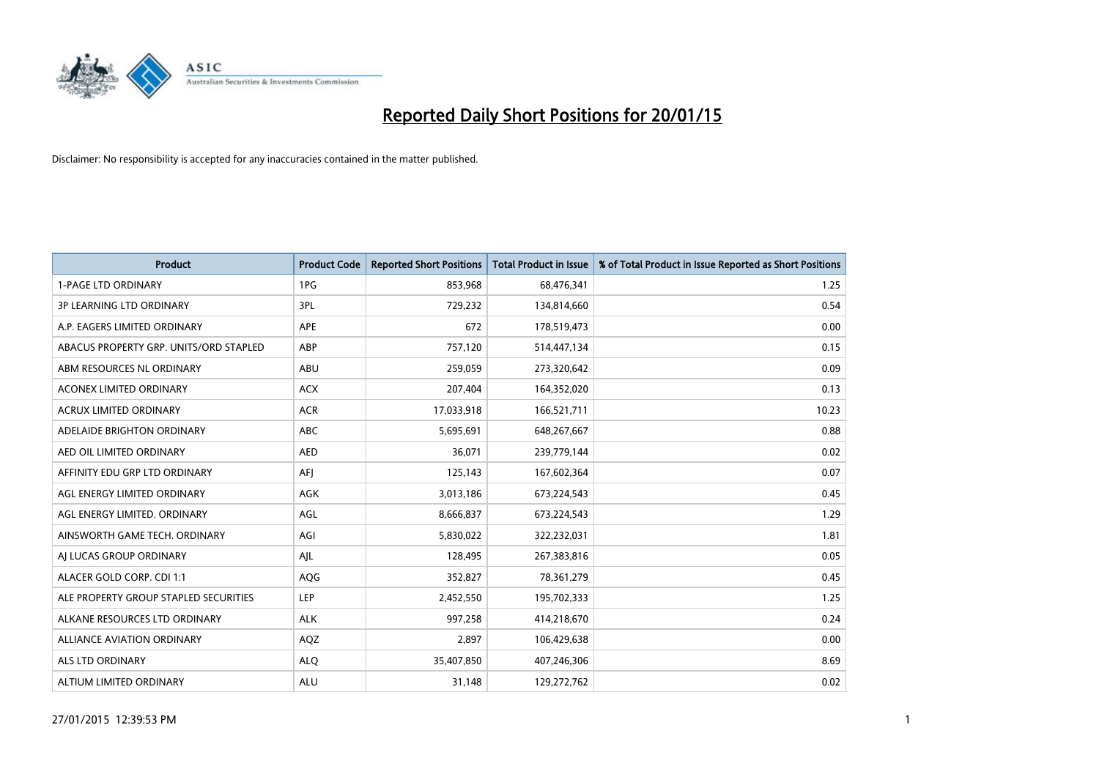

| <b>Product</b>                         | <b>Product Code</b> | <b>Reported Short Positions</b> | <b>Total Product in Issue</b> | % of Total Product in Issue Reported as Short Positions |
|----------------------------------------|---------------------|---------------------------------|-------------------------------|---------------------------------------------------------|
| <b>1-PAGE LTD ORDINARY</b>             | 1PG                 | 853,968                         | 68,476,341                    | 1.25                                                    |
| 3P LEARNING LTD ORDINARY               | 3PL                 | 729,232                         | 134,814,660                   | 0.54                                                    |
| A.P. EAGERS LIMITED ORDINARY           | <b>APE</b>          | 672                             | 178,519,473                   | 0.00                                                    |
| ABACUS PROPERTY GRP. UNITS/ORD STAPLED | ABP                 | 757,120                         | 514,447,134                   | 0.15                                                    |
| ABM RESOURCES NL ORDINARY              | ABU                 | 259,059                         | 273,320,642                   | 0.09                                                    |
| <b>ACONEX LIMITED ORDINARY</b>         | <b>ACX</b>          | 207,404                         | 164,352,020                   | 0.13                                                    |
| <b>ACRUX LIMITED ORDINARY</b>          | <b>ACR</b>          | 17,033,918                      | 166,521,711                   | 10.23                                                   |
| ADELAIDE BRIGHTON ORDINARY             | ABC                 | 5,695,691                       | 648,267,667                   | 0.88                                                    |
| AED OIL LIMITED ORDINARY               | <b>AED</b>          | 36,071                          | 239,779,144                   | 0.02                                                    |
| AFFINITY EDU GRP LTD ORDINARY          | AFI                 | 125,143                         | 167,602,364                   | 0.07                                                    |
| AGL ENERGY LIMITED ORDINARY            | AGK                 | 3,013,186                       | 673,224,543                   | 0.45                                                    |
| AGL ENERGY LIMITED. ORDINARY           | AGL                 | 8,666,837                       | 673,224,543                   | 1.29                                                    |
| AINSWORTH GAME TECH. ORDINARY          | AGI                 | 5,830,022                       | 322,232,031                   | 1.81                                                    |
| AI LUCAS GROUP ORDINARY                | AJL                 | 128,495                         | 267,383,816                   | 0.05                                                    |
| ALACER GOLD CORP. CDI 1:1              | AQG                 | 352,827                         | 78,361,279                    | 0.45                                                    |
| ALE PROPERTY GROUP STAPLED SECURITIES  | <b>LEP</b>          | 2,452,550                       | 195,702,333                   | 1.25                                                    |
| ALKANE RESOURCES LTD ORDINARY          | <b>ALK</b>          | 997,258                         | 414,218,670                   | 0.24                                                    |
| ALLIANCE AVIATION ORDINARY             | AQZ                 | 2,897                           | 106,429,638                   | 0.00                                                    |
| ALS LTD ORDINARY                       | <b>ALO</b>          | 35,407,850                      | 407,246,306                   | 8.69                                                    |
| ALTIUM LIMITED ORDINARY                | <b>ALU</b>          | 31,148                          | 129,272,762                   | 0.02                                                    |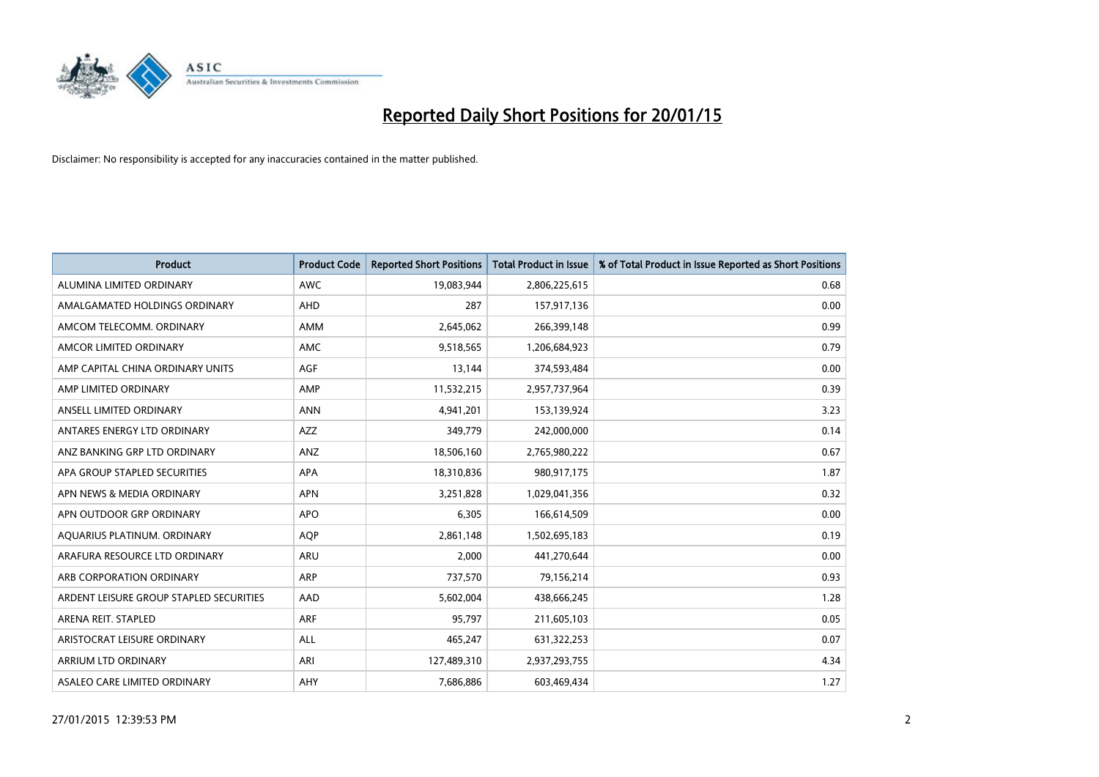

| <b>Product</b>                          | <b>Product Code</b> | <b>Reported Short Positions</b> | <b>Total Product in Issue</b> | % of Total Product in Issue Reported as Short Positions |
|-----------------------------------------|---------------------|---------------------------------|-------------------------------|---------------------------------------------------------|
| ALUMINA LIMITED ORDINARY                | <b>AWC</b>          | 19,083,944                      | 2,806,225,615                 | 0.68                                                    |
| AMALGAMATED HOLDINGS ORDINARY           | AHD                 | 287                             | 157,917,136                   | 0.00                                                    |
| AMCOM TELECOMM, ORDINARY                | AMM                 | 2,645,062                       | 266,399,148                   | 0.99                                                    |
| AMCOR LIMITED ORDINARY                  | AMC                 | 9,518,565                       | 1,206,684,923                 | 0.79                                                    |
| AMP CAPITAL CHINA ORDINARY UNITS        | AGF                 | 13,144                          | 374,593,484                   | 0.00                                                    |
| AMP LIMITED ORDINARY                    | AMP                 | 11,532,215                      | 2,957,737,964                 | 0.39                                                    |
| ANSELL LIMITED ORDINARY                 | <b>ANN</b>          | 4,941,201                       | 153,139,924                   | 3.23                                                    |
| ANTARES ENERGY LTD ORDINARY             | AZZ                 | 349,779                         | 242,000,000                   | 0.14                                                    |
| ANZ BANKING GRP LTD ORDINARY            | ANZ                 | 18,506,160                      | 2,765,980,222                 | 0.67                                                    |
| APA GROUP STAPLED SECURITIES            | <b>APA</b>          | 18,310,836                      | 980,917,175                   | 1.87                                                    |
| APN NEWS & MEDIA ORDINARY               | <b>APN</b>          | 3,251,828                       | 1,029,041,356                 | 0.32                                                    |
| APN OUTDOOR GRP ORDINARY                | <b>APO</b>          | 6,305                           | 166,614,509                   | 0.00                                                    |
| AQUARIUS PLATINUM. ORDINARY             | <b>AOP</b>          | 2,861,148                       | 1,502,695,183                 | 0.19                                                    |
| ARAFURA RESOURCE LTD ORDINARY           | ARU                 | 2,000                           | 441,270,644                   | 0.00                                                    |
| ARB CORPORATION ORDINARY                | ARP                 | 737,570                         | 79,156,214                    | 0.93                                                    |
| ARDENT LEISURE GROUP STAPLED SECURITIES | AAD                 | 5,602,004                       | 438,666,245                   | 1.28                                                    |
| ARENA REIT. STAPLED                     | <b>ARF</b>          | 95,797                          | 211,605,103                   | 0.05                                                    |
| ARISTOCRAT LEISURE ORDINARY             | <b>ALL</b>          | 465,247                         | 631,322,253                   | 0.07                                                    |
| ARRIUM LTD ORDINARY                     | ARI                 | 127,489,310                     | 2,937,293,755                 | 4.34                                                    |
| ASALEO CARE LIMITED ORDINARY            | AHY                 | 7,686,886                       | 603,469,434                   | 1.27                                                    |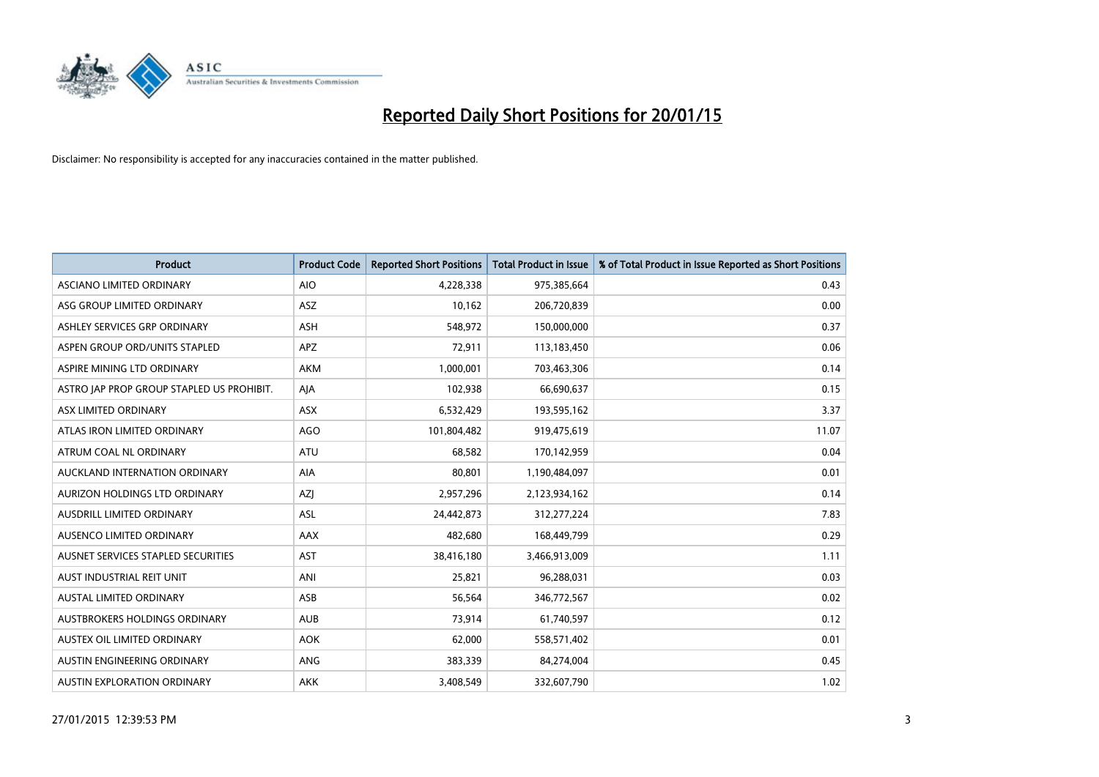

| <b>Product</b>                            | <b>Product Code</b> | <b>Reported Short Positions</b> | <b>Total Product in Issue</b> | % of Total Product in Issue Reported as Short Positions |
|-------------------------------------------|---------------------|---------------------------------|-------------------------------|---------------------------------------------------------|
| ASCIANO LIMITED ORDINARY                  | <b>AIO</b>          | 4,228,338                       | 975,385,664                   | 0.43                                                    |
| ASG GROUP LIMITED ORDINARY                | ASZ                 | 10,162                          | 206,720,839                   | 0.00                                                    |
| ASHLEY SERVICES GRP ORDINARY              | <b>ASH</b>          | 548,972                         | 150,000,000                   | 0.37                                                    |
| ASPEN GROUP ORD/UNITS STAPLED             | APZ                 | 72,911                          | 113,183,450                   | 0.06                                                    |
| ASPIRE MINING LTD ORDINARY                | <b>AKM</b>          | 1,000,001                       | 703,463,306                   | 0.14                                                    |
| ASTRO JAP PROP GROUP STAPLED US PROHIBIT. | AJA                 | 102,938                         | 66,690,637                    | 0.15                                                    |
| ASX LIMITED ORDINARY                      | ASX                 | 6,532,429                       | 193,595,162                   | 3.37                                                    |
| ATLAS IRON LIMITED ORDINARY               | <b>AGO</b>          | 101,804,482                     | 919,475,619                   | 11.07                                                   |
| ATRUM COAL NL ORDINARY                    | <b>ATU</b>          | 68,582                          | 170,142,959                   | 0.04                                                    |
| AUCKLAND INTERNATION ORDINARY             | <b>AIA</b>          | 80,801                          | 1,190,484,097                 | 0.01                                                    |
| AURIZON HOLDINGS LTD ORDINARY             | AZJ                 | 2,957,296                       | 2,123,934,162                 | 0.14                                                    |
| AUSDRILL LIMITED ORDINARY                 | ASL                 | 24,442,873                      | 312,277,224                   | 7.83                                                    |
| AUSENCO LIMITED ORDINARY                  | AAX                 | 482,680                         | 168,449,799                   | 0.29                                                    |
| AUSNET SERVICES STAPLED SECURITIES        | AST                 | 38,416,180                      | 3,466,913,009                 | 1.11                                                    |
| AUST INDUSTRIAL REIT UNIT                 | ANI                 | 25,821                          | 96,288,031                    | 0.03                                                    |
| AUSTAL LIMITED ORDINARY                   | ASB                 | 56,564                          | 346,772,567                   | 0.02                                                    |
| AUSTBROKERS HOLDINGS ORDINARY             | <b>AUB</b>          | 73,914                          | 61,740,597                    | 0.12                                                    |
| AUSTEX OIL LIMITED ORDINARY               | <b>AOK</b>          | 62,000                          | 558,571,402                   | 0.01                                                    |
| AUSTIN ENGINEERING ORDINARY               | ANG                 | 383,339                         | 84,274,004                    | 0.45                                                    |
| <b>AUSTIN EXPLORATION ORDINARY</b>        | <b>AKK</b>          | 3,408,549                       | 332,607,790                   | 1.02                                                    |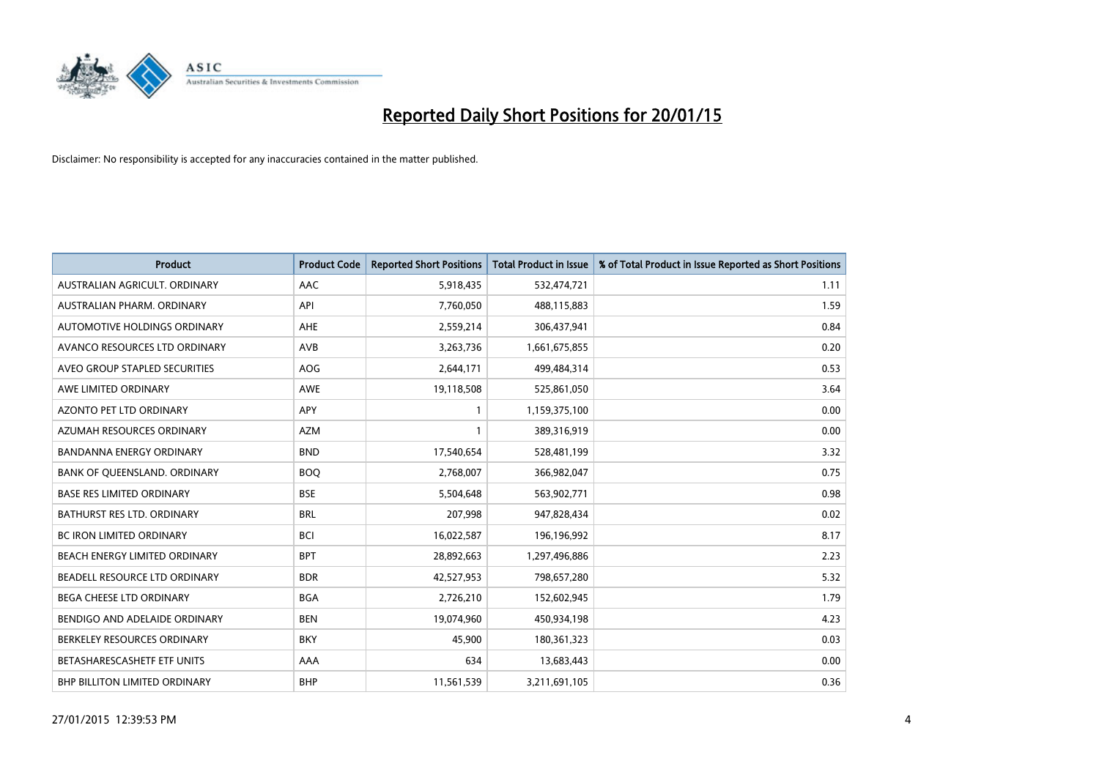

| <b>Product</b>                    | <b>Product Code</b> | <b>Reported Short Positions</b> | <b>Total Product in Issue</b> | % of Total Product in Issue Reported as Short Positions |
|-----------------------------------|---------------------|---------------------------------|-------------------------------|---------------------------------------------------------|
| AUSTRALIAN AGRICULT, ORDINARY     | AAC                 | 5,918,435                       | 532,474,721                   | 1.11                                                    |
| AUSTRALIAN PHARM. ORDINARY        | API                 | 7,760,050                       | 488,115,883                   | 1.59                                                    |
| AUTOMOTIVE HOLDINGS ORDINARY      | AHE                 | 2,559,214                       | 306,437,941                   | 0.84                                                    |
| AVANCO RESOURCES LTD ORDINARY     | AVB                 | 3,263,736                       | 1,661,675,855                 | 0.20                                                    |
| AVEO GROUP STAPLED SECURITIES     | <b>AOG</b>          | 2,644,171                       | 499,484,314                   | 0.53                                                    |
| AWE LIMITED ORDINARY              | <b>AWE</b>          | 19,118,508                      | 525,861,050                   | 3.64                                                    |
| AZONTO PET LTD ORDINARY           | APY                 | 1                               | 1,159,375,100                 | 0.00                                                    |
| AZUMAH RESOURCES ORDINARY         | <b>AZM</b>          | 1                               | 389,316,919                   | 0.00                                                    |
| <b>BANDANNA ENERGY ORDINARY</b>   | <b>BND</b>          | 17,540,654                      | 528,481,199                   | 3.32                                                    |
| BANK OF OUEENSLAND, ORDINARY      | <b>BOQ</b>          | 2,768,007                       | 366,982,047                   | 0.75                                                    |
| <b>BASE RES LIMITED ORDINARY</b>  | <b>BSE</b>          | 5,504,648                       | 563,902,771                   | 0.98                                                    |
| <b>BATHURST RES LTD. ORDINARY</b> | <b>BRL</b>          | 207,998                         | 947,828,434                   | 0.02                                                    |
| BC IRON LIMITED ORDINARY          | <b>BCI</b>          | 16,022,587                      | 196,196,992                   | 8.17                                                    |
| BEACH ENERGY LIMITED ORDINARY     | <b>BPT</b>          | 28,892,663                      | 1,297,496,886                 | 2.23                                                    |
| BEADELL RESOURCE LTD ORDINARY     | <b>BDR</b>          | 42,527,953                      | 798,657,280                   | 5.32                                                    |
| BEGA CHEESE LTD ORDINARY          | <b>BGA</b>          | 2,726,210                       | 152,602,945                   | 1.79                                                    |
| BENDIGO AND ADELAIDE ORDINARY     | <b>BEN</b>          | 19,074,960                      | 450,934,198                   | 4.23                                                    |
| BERKELEY RESOURCES ORDINARY       | <b>BKY</b>          | 45,900                          | 180,361,323                   | 0.03                                                    |
| BETASHARESCASHETF ETF UNITS       | AAA                 | 634                             | 13,683,443                    | 0.00                                                    |
| BHP BILLITON LIMITED ORDINARY     | <b>BHP</b>          | 11,561,539                      | 3,211,691,105                 | 0.36                                                    |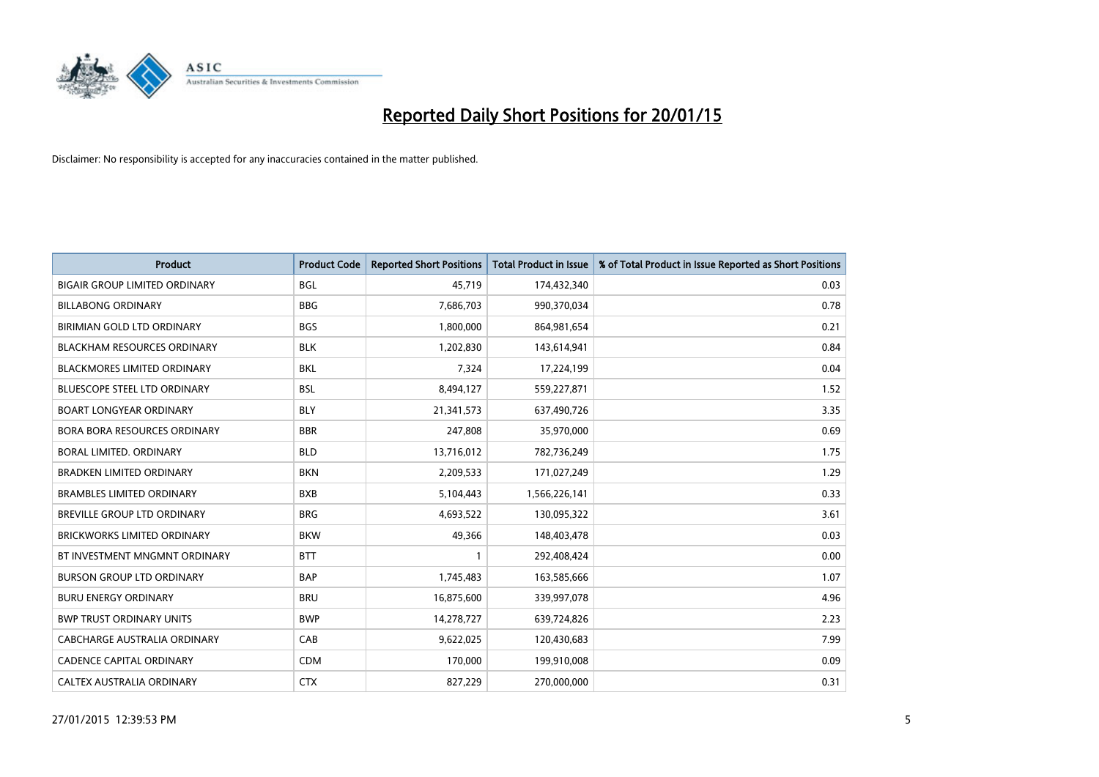

| <b>Product</b>                       | <b>Product Code</b> | <b>Reported Short Positions</b> | <b>Total Product in Issue</b> | % of Total Product in Issue Reported as Short Positions |
|--------------------------------------|---------------------|---------------------------------|-------------------------------|---------------------------------------------------------|
| <b>BIGAIR GROUP LIMITED ORDINARY</b> | <b>BGL</b>          | 45,719                          | 174,432,340                   | 0.03                                                    |
| <b>BILLABONG ORDINARY</b>            | <b>BBG</b>          | 7,686,703                       | 990,370,034                   | 0.78                                                    |
| BIRIMIAN GOLD LTD ORDINARY           | <b>BGS</b>          | 1,800,000                       | 864,981,654                   | 0.21                                                    |
| <b>BLACKHAM RESOURCES ORDINARY</b>   | <b>BLK</b>          | 1,202,830                       | 143,614,941                   | 0.84                                                    |
| <b>BLACKMORES LIMITED ORDINARY</b>   | <b>BKL</b>          | 7,324                           | 17,224,199                    | 0.04                                                    |
| <b>BLUESCOPE STEEL LTD ORDINARY</b>  | <b>BSL</b>          | 8,494,127                       | 559,227,871                   | 1.52                                                    |
| <b>BOART LONGYEAR ORDINARY</b>       | <b>BLY</b>          | 21,341,573                      | 637,490,726                   | 3.35                                                    |
| BORA BORA RESOURCES ORDINARY         | <b>BBR</b>          | 247,808                         | 35,970,000                    | 0.69                                                    |
| <b>BORAL LIMITED, ORDINARY</b>       | <b>BLD</b>          | 13,716,012                      | 782,736,249                   | 1.75                                                    |
| <b>BRADKEN LIMITED ORDINARY</b>      | <b>BKN</b>          | 2,209,533                       | 171,027,249                   | 1.29                                                    |
| <b>BRAMBLES LIMITED ORDINARY</b>     | <b>BXB</b>          | 5,104,443                       | 1,566,226,141                 | 0.33                                                    |
| BREVILLE GROUP LTD ORDINARY          | <b>BRG</b>          | 4,693,522                       | 130,095,322                   | 3.61                                                    |
| <b>BRICKWORKS LIMITED ORDINARY</b>   | <b>BKW</b>          | 49,366                          | 148,403,478                   | 0.03                                                    |
| BT INVESTMENT MNGMNT ORDINARY        | <b>BTT</b>          | $\mathbf{1}$                    | 292,408,424                   | 0.00                                                    |
| <b>BURSON GROUP LTD ORDINARY</b>     | <b>BAP</b>          | 1,745,483                       | 163,585,666                   | 1.07                                                    |
| <b>BURU ENERGY ORDINARY</b>          | <b>BRU</b>          | 16,875,600                      | 339,997,078                   | 4.96                                                    |
| <b>BWP TRUST ORDINARY UNITS</b>      | <b>BWP</b>          | 14,278,727                      | 639,724,826                   | 2.23                                                    |
| CABCHARGE AUSTRALIA ORDINARY         | CAB                 | 9,622,025                       | 120,430,683                   | 7.99                                                    |
| CADENCE CAPITAL ORDINARY             | <b>CDM</b>          | 170,000                         | 199,910,008                   | 0.09                                                    |
| CALTEX AUSTRALIA ORDINARY            | <b>CTX</b>          | 827,229                         | 270,000,000                   | 0.31                                                    |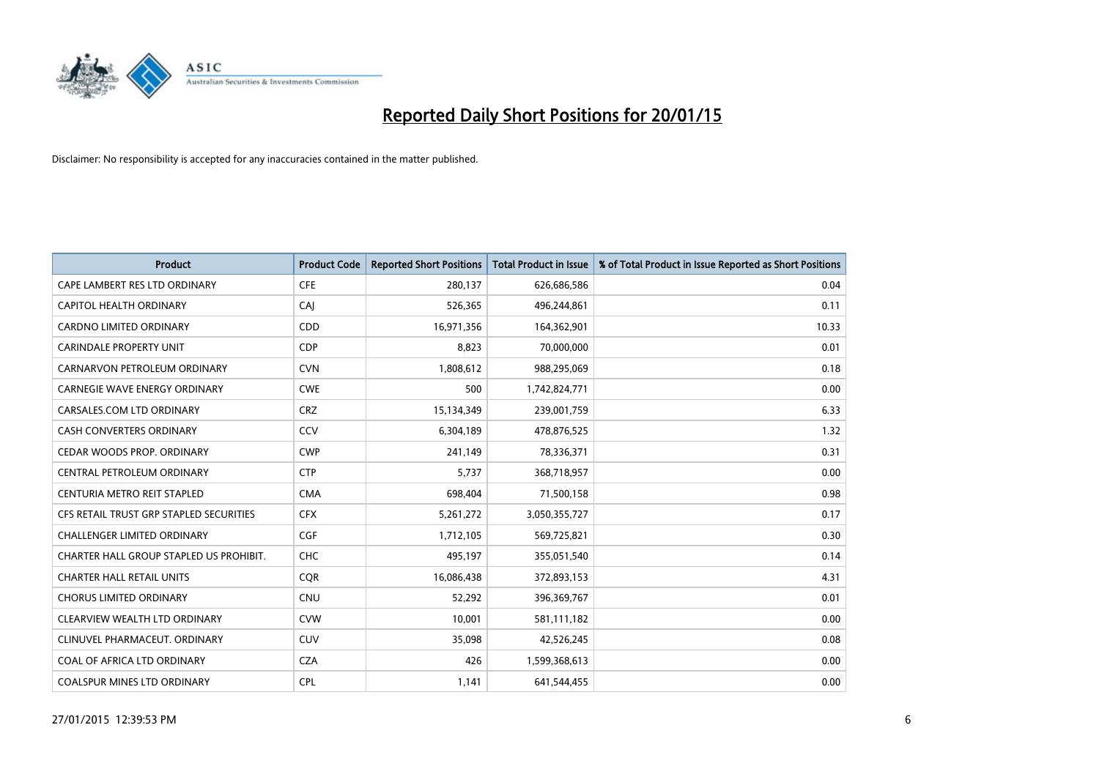

| <b>Product</b>                          | <b>Product Code</b> | <b>Reported Short Positions</b> | <b>Total Product in Issue</b> | % of Total Product in Issue Reported as Short Positions |
|-----------------------------------------|---------------------|---------------------------------|-------------------------------|---------------------------------------------------------|
| CAPE LAMBERT RES LTD ORDINARY           | <b>CFE</b>          | 280,137                         | 626,686,586                   | 0.04                                                    |
| CAPITOL HEALTH ORDINARY                 | <b>CAJ</b>          | 526,365                         | 496,244,861                   | 0.11                                                    |
| <b>CARDNO LIMITED ORDINARY</b>          | CDD                 | 16,971,356                      | 164,362,901                   | 10.33                                                   |
| <b>CARINDALE PROPERTY UNIT</b>          | <b>CDP</b>          | 8,823                           | 70,000,000                    | 0.01                                                    |
| CARNARVON PETROLEUM ORDINARY            | <b>CVN</b>          | 1,808,612                       | 988,295,069                   | 0.18                                                    |
| <b>CARNEGIE WAVE ENERGY ORDINARY</b>    | <b>CWE</b>          | 500                             | 1,742,824,771                 | 0.00                                                    |
| CARSALES.COM LTD ORDINARY               | <b>CRZ</b>          | 15,134,349                      | 239,001,759                   | 6.33                                                    |
| CASH CONVERTERS ORDINARY                | <b>CCV</b>          | 6,304,189                       | 478,876,525                   | 1.32                                                    |
| CEDAR WOODS PROP. ORDINARY              | <b>CWP</b>          | 241,149                         | 78,336,371                    | 0.31                                                    |
| CENTRAL PETROLEUM ORDINARY              | <b>CTP</b>          | 5,737                           | 368,718,957                   | 0.00                                                    |
| CENTURIA METRO REIT STAPLED             | <b>CMA</b>          | 698,404                         | 71,500,158                    | 0.98                                                    |
| CFS RETAIL TRUST GRP STAPLED SECURITIES | <b>CFX</b>          | 5,261,272                       | 3,050,355,727                 | 0.17                                                    |
| <b>CHALLENGER LIMITED ORDINARY</b>      | <b>CGF</b>          | 1,712,105                       | 569,725,821                   | 0.30                                                    |
| CHARTER HALL GROUP STAPLED US PROHIBIT. | <b>CHC</b>          | 495,197                         | 355,051,540                   | 0.14                                                    |
| <b>CHARTER HALL RETAIL UNITS</b>        | CQR                 | 16,086,438                      | 372,893,153                   | 4.31                                                    |
| <b>CHORUS LIMITED ORDINARY</b>          | <b>CNU</b>          | 52,292                          | 396,369,767                   | 0.01                                                    |
| CLEARVIEW WEALTH LTD ORDINARY           | <b>CVW</b>          | 10,001                          | 581,111,182                   | 0.00                                                    |
| CLINUVEL PHARMACEUT, ORDINARY           | <b>CUV</b>          | 35,098                          | 42,526,245                    | 0.08                                                    |
| COAL OF AFRICA LTD ORDINARY             | <b>CZA</b>          | 426                             | 1,599,368,613                 | 0.00                                                    |
| <b>COALSPUR MINES LTD ORDINARY</b>      | <b>CPL</b>          | 1,141                           | 641,544,455                   | 0.00                                                    |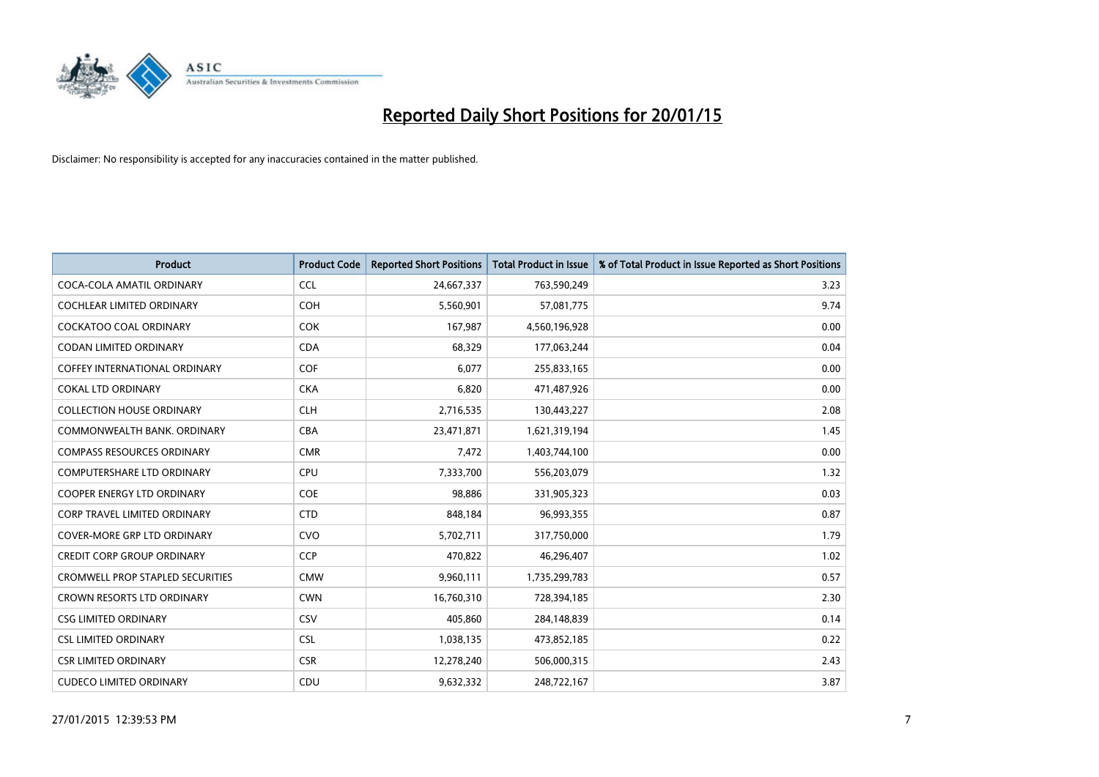

| <b>Product</b>                          | <b>Product Code</b> | <b>Reported Short Positions</b> | <b>Total Product in Issue</b> | % of Total Product in Issue Reported as Short Positions |
|-----------------------------------------|---------------------|---------------------------------|-------------------------------|---------------------------------------------------------|
| COCA-COLA AMATIL ORDINARY               | <b>CCL</b>          | 24,667,337                      | 763,590,249                   | 3.23                                                    |
| COCHLEAR LIMITED ORDINARY               | <b>COH</b>          | 5,560,901                       | 57,081,775                    | 9.74                                                    |
| COCKATOO COAL ORDINARY                  | <b>COK</b>          | 167,987                         | 4,560,196,928                 | 0.00                                                    |
| <b>CODAN LIMITED ORDINARY</b>           | <b>CDA</b>          | 68,329                          | 177,063,244                   | 0.04                                                    |
| COFFEY INTERNATIONAL ORDINARY           | <b>COF</b>          | 6,077                           | 255,833,165                   | 0.00                                                    |
| <b>COKAL LTD ORDINARY</b>               | <b>CKA</b>          | 6,820                           | 471,487,926                   | 0.00                                                    |
| <b>COLLECTION HOUSE ORDINARY</b>        | <b>CLH</b>          | 2,716,535                       | 130,443,227                   | 2.08                                                    |
| COMMONWEALTH BANK, ORDINARY             | <b>CBA</b>          | 23,471,871                      | 1,621,319,194                 | 1.45                                                    |
| <b>COMPASS RESOURCES ORDINARY</b>       | <b>CMR</b>          | 7,472                           | 1,403,744,100                 | 0.00                                                    |
| <b>COMPUTERSHARE LTD ORDINARY</b>       | <b>CPU</b>          | 7,333,700                       | 556,203,079                   | 1.32                                                    |
| COOPER ENERGY LTD ORDINARY              | <b>COE</b>          | 98,886                          | 331,905,323                   | 0.03                                                    |
| <b>CORP TRAVEL LIMITED ORDINARY</b>     | <b>CTD</b>          | 848,184                         | 96,993,355                    | 0.87                                                    |
| <b>COVER-MORE GRP LTD ORDINARY</b>      | <b>CVO</b>          | 5,702,711                       | 317,750,000                   | 1.79                                                    |
| <b>CREDIT CORP GROUP ORDINARY</b>       | <b>CCP</b>          | 470,822                         | 46,296,407                    | 1.02                                                    |
| <b>CROMWELL PROP STAPLED SECURITIES</b> | <b>CMW</b>          | 9,960,111                       | 1,735,299,783                 | 0.57                                                    |
| <b>CROWN RESORTS LTD ORDINARY</b>       | <b>CWN</b>          | 16,760,310                      | 728,394,185                   | 2.30                                                    |
| <b>CSG LIMITED ORDINARY</b>             | CSV                 | 405,860                         | 284,148,839                   | 0.14                                                    |
| <b>CSL LIMITED ORDINARY</b>             | <b>CSL</b>          | 1,038,135                       | 473,852,185                   | 0.22                                                    |
| <b>CSR LIMITED ORDINARY</b>             | <b>CSR</b>          | 12,278,240                      | 506,000,315                   | 2.43                                                    |
| <b>CUDECO LIMITED ORDINARY</b>          | CDU                 | 9,632,332                       | 248,722,167                   | 3.87                                                    |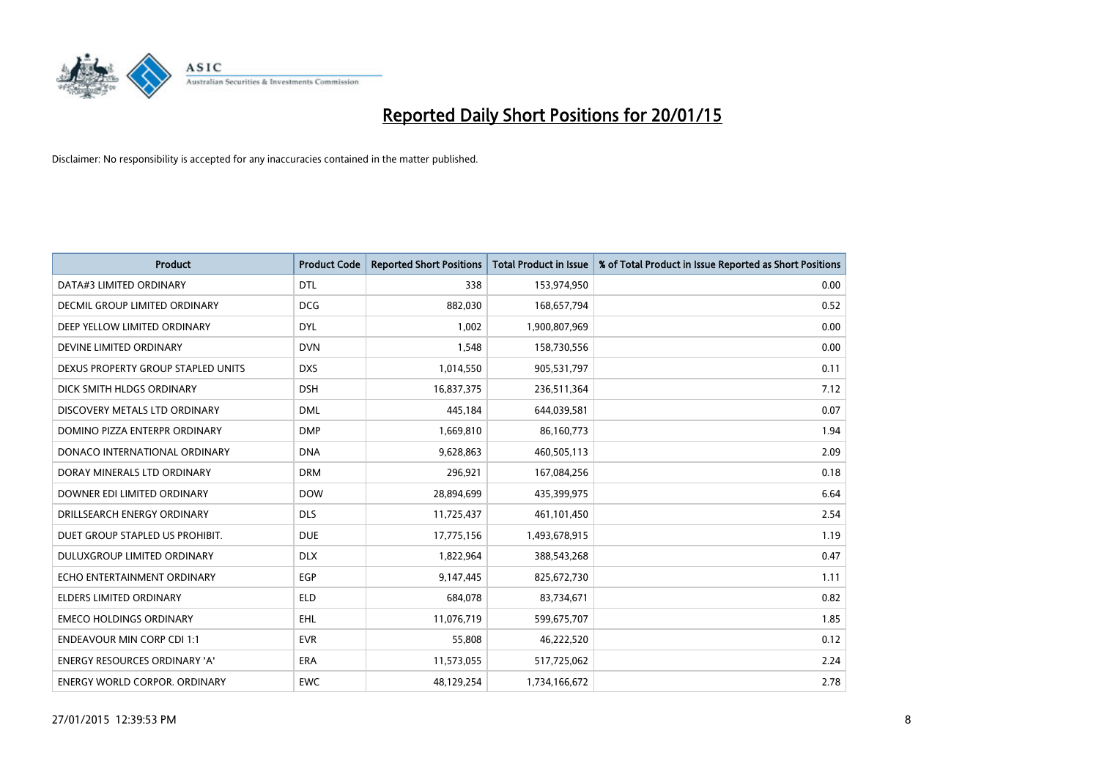

| Product                              | <b>Product Code</b> | <b>Reported Short Positions</b> | <b>Total Product in Issue</b> | % of Total Product in Issue Reported as Short Positions |
|--------------------------------------|---------------------|---------------------------------|-------------------------------|---------------------------------------------------------|
| DATA#3 LIMITED ORDINARY              | <b>DTL</b>          | 338                             | 153,974,950                   | 0.00                                                    |
| DECMIL GROUP LIMITED ORDINARY        | <b>DCG</b>          | 882,030                         | 168,657,794                   | 0.52                                                    |
| DEEP YELLOW LIMITED ORDINARY         | <b>DYL</b>          | 1,002                           | 1,900,807,969                 | 0.00                                                    |
| DEVINE LIMITED ORDINARY              | <b>DVN</b>          | 1,548                           | 158,730,556                   | 0.00                                                    |
| DEXUS PROPERTY GROUP STAPLED UNITS   | <b>DXS</b>          | 1,014,550                       | 905,531,797                   | 0.11                                                    |
| DICK SMITH HLDGS ORDINARY            | <b>DSH</b>          | 16,837,375                      | 236,511,364                   | 7.12                                                    |
| DISCOVERY METALS LTD ORDINARY        | <b>DML</b>          | 445,184                         | 644,039,581                   | 0.07                                                    |
| DOMINO PIZZA ENTERPR ORDINARY        | <b>DMP</b>          | 1,669,810                       | 86,160,773                    | 1.94                                                    |
| DONACO INTERNATIONAL ORDINARY        | <b>DNA</b>          | 9,628,863                       | 460,505,113                   | 2.09                                                    |
| DORAY MINERALS LTD ORDINARY          | <b>DRM</b>          | 296,921                         | 167,084,256                   | 0.18                                                    |
| DOWNER EDI LIMITED ORDINARY          | <b>DOW</b>          | 28,894,699                      | 435,399,975                   | 6.64                                                    |
| DRILLSEARCH ENERGY ORDINARY          | <b>DLS</b>          | 11,725,437                      | 461,101,450                   | 2.54                                                    |
| DUET GROUP STAPLED US PROHIBIT.      | <b>DUE</b>          | 17,775,156                      | 1,493,678,915                 | 1.19                                                    |
| <b>DULUXGROUP LIMITED ORDINARY</b>   | <b>DLX</b>          | 1,822,964                       | 388,543,268                   | 0.47                                                    |
| ECHO ENTERTAINMENT ORDINARY          | <b>EGP</b>          | 9,147,445                       | 825,672,730                   | 1.11                                                    |
| <b>ELDERS LIMITED ORDINARY</b>       | <b>ELD</b>          | 684,078                         | 83,734,671                    | 0.82                                                    |
| <b>EMECO HOLDINGS ORDINARY</b>       | <b>EHL</b>          | 11,076,719                      | 599,675,707                   | 1.85                                                    |
| <b>ENDEAVOUR MIN CORP CDI 1:1</b>    | <b>EVR</b>          | 55.808                          | 46,222,520                    | 0.12                                                    |
| <b>ENERGY RESOURCES ORDINARY 'A'</b> | <b>ERA</b>          | 11,573,055                      | 517,725,062                   | 2.24                                                    |
| ENERGY WORLD CORPOR. ORDINARY        | <b>EWC</b>          | 48,129,254                      | 1,734,166,672                 | 2.78                                                    |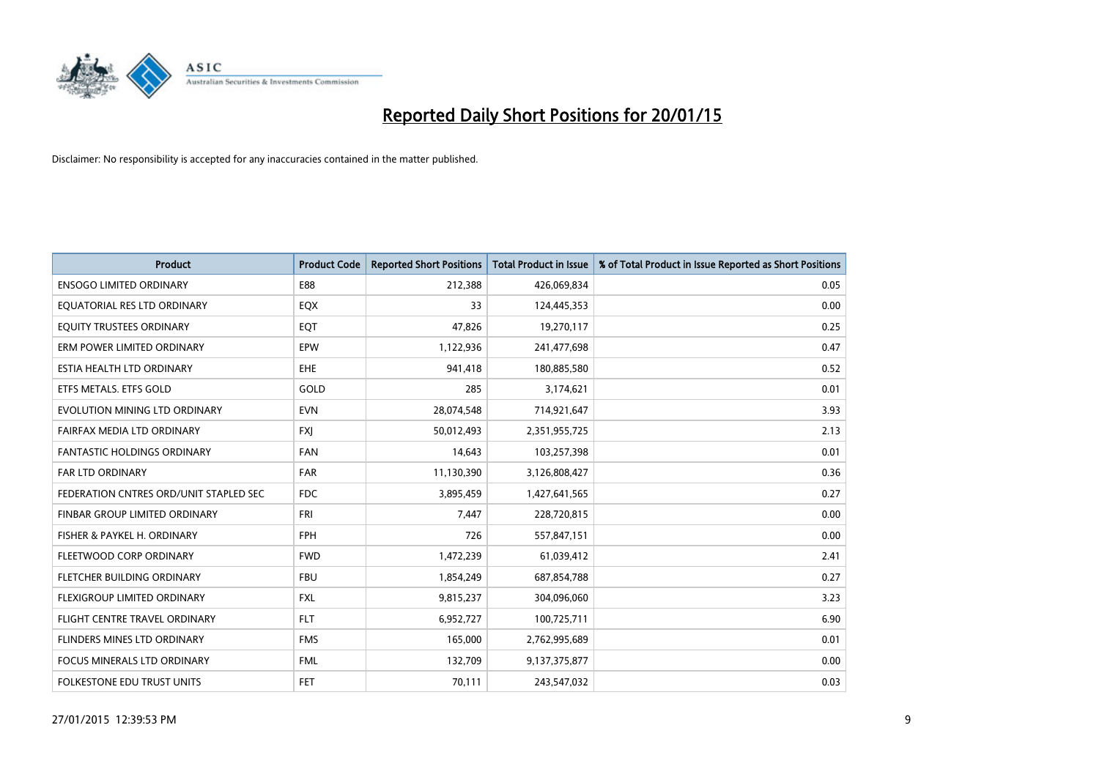

| <b>Product</b>                         | <b>Product Code</b> | <b>Reported Short Positions</b> | <b>Total Product in Issue</b> | % of Total Product in Issue Reported as Short Positions |
|----------------------------------------|---------------------|---------------------------------|-------------------------------|---------------------------------------------------------|
| <b>ENSOGO LIMITED ORDINARY</b>         | E88                 | 212,388                         | 426,069,834                   | 0.05                                                    |
| EQUATORIAL RES LTD ORDINARY            | EQX                 | 33                              | 124,445,353                   | 0.00                                                    |
| EQUITY TRUSTEES ORDINARY               | EQT                 | 47,826                          | 19,270,117                    | 0.25                                                    |
| ERM POWER LIMITED ORDINARY             | EPW                 | 1,122,936                       | 241,477,698                   | 0.47                                                    |
| ESTIA HEALTH LTD ORDINARY              | EHE.                | 941,418                         | 180,885,580                   | 0.52                                                    |
| ETFS METALS. ETFS GOLD                 | GOLD                | 285                             | 3,174,621                     | 0.01                                                    |
| EVOLUTION MINING LTD ORDINARY          | <b>EVN</b>          | 28,074,548                      | 714,921,647                   | 3.93                                                    |
| FAIRFAX MEDIA LTD ORDINARY             | <b>FXJ</b>          | 50,012,493                      | 2,351,955,725                 | 2.13                                                    |
| <b>FANTASTIC HOLDINGS ORDINARY</b>     | <b>FAN</b>          | 14,643                          | 103,257,398                   | 0.01                                                    |
| <b>FAR LTD ORDINARY</b>                | <b>FAR</b>          | 11,130,390                      | 3,126,808,427                 | 0.36                                                    |
| FEDERATION CNTRES ORD/UNIT STAPLED SEC | <b>FDC</b>          | 3,895,459                       | 1,427,641,565                 | 0.27                                                    |
| <b>FINBAR GROUP LIMITED ORDINARY</b>   | <b>FRI</b>          | 7,447                           | 228,720,815                   | 0.00                                                    |
| FISHER & PAYKEL H. ORDINARY            | <b>FPH</b>          | 726                             | 557,847,151                   | 0.00                                                    |
| FLEETWOOD CORP ORDINARY                | <b>FWD</b>          | 1,472,239                       | 61,039,412                    | 2.41                                                    |
| FLETCHER BUILDING ORDINARY             | <b>FBU</b>          | 1,854,249                       | 687,854,788                   | 0.27                                                    |
| FLEXIGROUP LIMITED ORDINARY            | <b>FXL</b>          | 9,815,237                       | 304,096,060                   | 3.23                                                    |
| FLIGHT CENTRE TRAVEL ORDINARY          | <b>FLT</b>          | 6,952,727                       | 100,725,711                   | 6.90                                                    |
| FLINDERS MINES LTD ORDINARY            | <b>FMS</b>          | 165,000                         | 2,762,995,689                 | 0.01                                                    |
| <b>FOCUS MINERALS LTD ORDINARY</b>     | <b>FML</b>          | 132,709                         | 9,137,375,877                 | 0.00                                                    |
| FOLKESTONE EDU TRUST UNITS             | <b>FET</b>          | 70,111                          | 243,547,032                   | 0.03                                                    |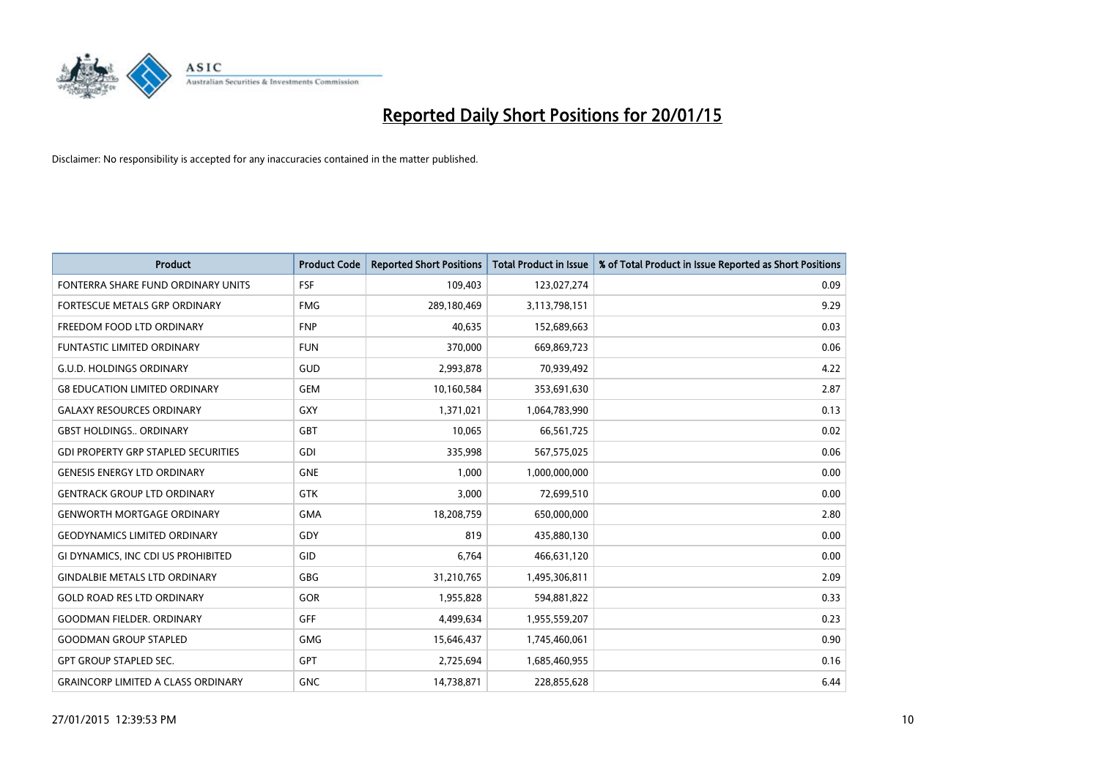

| <b>Product</b>                             | <b>Product Code</b> | <b>Reported Short Positions</b> | <b>Total Product in Issue</b> | % of Total Product in Issue Reported as Short Positions |
|--------------------------------------------|---------------------|---------------------------------|-------------------------------|---------------------------------------------------------|
| FONTERRA SHARE FUND ORDINARY UNITS         | <b>FSF</b>          | 109,403                         | 123,027,274                   | 0.09                                                    |
| FORTESCUE METALS GRP ORDINARY              | <b>FMG</b>          | 289,180,469                     | 3,113,798,151                 | 9.29                                                    |
| FREEDOM FOOD LTD ORDINARY                  | <b>FNP</b>          | 40,635                          | 152,689,663                   | 0.03                                                    |
| <b>FUNTASTIC LIMITED ORDINARY</b>          | <b>FUN</b>          | 370,000                         | 669,869,723                   | 0.06                                                    |
| <b>G.U.D. HOLDINGS ORDINARY</b>            | GUD                 | 2,993,878                       | 70,939,492                    | 4.22                                                    |
| <b>G8 EDUCATION LIMITED ORDINARY</b>       | <b>GEM</b>          | 10,160,584                      | 353,691,630                   | 2.87                                                    |
| <b>GALAXY RESOURCES ORDINARY</b>           | <b>GXY</b>          | 1,371,021                       | 1,064,783,990                 | 0.13                                                    |
| <b>GBST HOLDINGS ORDINARY</b>              | <b>GBT</b>          | 10,065                          | 66,561,725                    | 0.02                                                    |
| <b>GDI PROPERTY GRP STAPLED SECURITIES</b> | GDI                 | 335,998                         | 567,575,025                   | 0.06                                                    |
| <b>GENESIS ENERGY LTD ORDINARY</b>         | <b>GNE</b>          | 1,000                           | 1,000,000,000                 | 0.00                                                    |
| <b>GENTRACK GROUP LTD ORDINARY</b>         | GTK                 | 3,000                           | 72,699,510                    | 0.00                                                    |
| <b>GENWORTH MORTGAGE ORDINARY</b>          | <b>GMA</b>          | 18,208,759                      | 650,000,000                   | 2.80                                                    |
| <b>GEODYNAMICS LIMITED ORDINARY</b>        | GDY                 | 819                             | 435,880,130                   | 0.00                                                    |
| GI DYNAMICS, INC CDI US PROHIBITED         | GID                 | 6,764                           | 466,631,120                   | 0.00                                                    |
| <b>GINDALBIE METALS LTD ORDINARY</b>       | GBG                 | 31,210,765                      | 1,495,306,811                 | 2.09                                                    |
| <b>GOLD ROAD RES LTD ORDINARY</b>          | GOR                 | 1,955,828                       | 594,881,822                   | 0.33                                                    |
| <b>GOODMAN FIELDER. ORDINARY</b>           | GFF                 | 4,499,634                       | 1,955,559,207                 | 0.23                                                    |
| <b>GOODMAN GROUP STAPLED</b>               | <b>GMG</b>          | 15,646,437                      | 1,745,460,061                 | 0.90                                                    |
| <b>GPT GROUP STAPLED SEC.</b>              | GPT                 | 2,725,694                       | 1,685,460,955                 | 0.16                                                    |
| <b>GRAINCORP LIMITED A CLASS ORDINARY</b>  | <b>GNC</b>          | 14,738,871                      | 228,855,628                   | 6.44                                                    |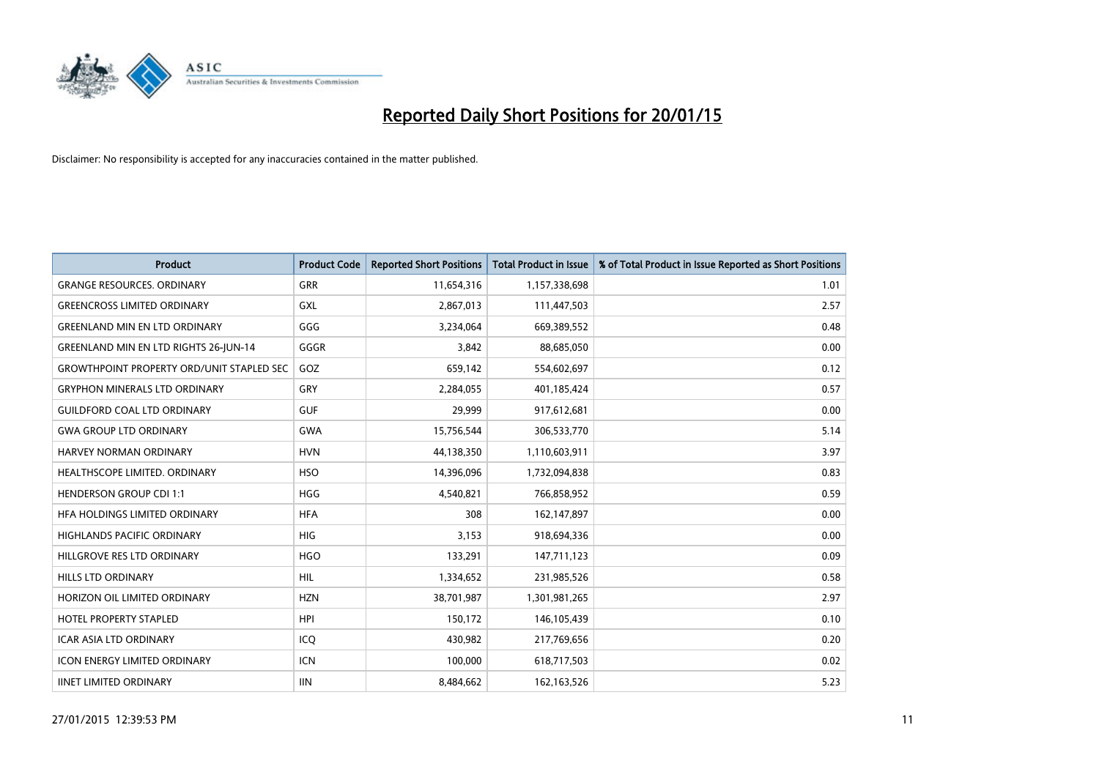

| <b>Product</b>                                   | <b>Product Code</b> | <b>Reported Short Positions</b> | <b>Total Product in Issue</b> | % of Total Product in Issue Reported as Short Positions |
|--------------------------------------------------|---------------------|---------------------------------|-------------------------------|---------------------------------------------------------|
| <b>GRANGE RESOURCES, ORDINARY</b>                | <b>GRR</b>          | 11,654,316                      | 1,157,338,698                 | 1.01                                                    |
| <b>GREENCROSS LIMITED ORDINARY</b>               | GXL                 | 2,867,013                       | 111,447,503                   | 2.57                                                    |
| <b>GREENLAND MIN EN LTD ORDINARY</b>             | GGG                 | 3,234,064                       | 669,389,552                   | 0.48                                                    |
| GREENLAND MIN EN LTD RIGHTS 26-JUN-14            | GGGR                | 3,842                           | 88,685,050                    | 0.00                                                    |
| <b>GROWTHPOINT PROPERTY ORD/UNIT STAPLED SEC</b> | GOZ                 | 659,142                         | 554,602,697                   | 0.12                                                    |
| <b>GRYPHON MINERALS LTD ORDINARY</b>             | GRY                 | 2,284,055                       | 401,185,424                   | 0.57                                                    |
| <b>GUILDFORD COAL LTD ORDINARY</b>               | <b>GUF</b>          | 29,999                          | 917,612,681                   | 0.00                                                    |
| <b>GWA GROUP LTD ORDINARY</b>                    | GWA                 | 15,756,544                      | 306,533,770                   | 5.14                                                    |
| <b>HARVEY NORMAN ORDINARY</b>                    | <b>HVN</b>          | 44,138,350                      | 1,110,603,911                 | 3.97                                                    |
| HEALTHSCOPE LIMITED. ORDINARY                    | <b>HSO</b>          | 14,396,096                      | 1,732,094,838                 | 0.83                                                    |
| <b>HENDERSON GROUP CDI 1:1</b>                   | <b>HGG</b>          | 4,540,821                       | 766,858,952                   | 0.59                                                    |
| HFA HOLDINGS LIMITED ORDINARY                    | <b>HFA</b>          | 308                             | 162,147,897                   | 0.00                                                    |
| HIGHLANDS PACIFIC ORDINARY                       | <b>HIG</b>          | 3,153                           | 918,694,336                   | 0.00                                                    |
| HILLGROVE RES LTD ORDINARY                       | <b>HGO</b>          | 133,291                         | 147,711,123                   | 0.09                                                    |
| <b>HILLS LTD ORDINARY</b>                        | <b>HIL</b>          | 1,334,652                       | 231,985,526                   | 0.58                                                    |
| HORIZON OIL LIMITED ORDINARY                     | <b>HZN</b>          | 38,701,987                      | 1,301,981,265                 | 2.97                                                    |
| HOTEL PROPERTY STAPLED                           | <b>HPI</b>          | 150,172                         | 146, 105, 439                 | 0.10                                                    |
| <b>ICAR ASIA LTD ORDINARY</b>                    | ICQ                 | 430,982                         | 217,769,656                   | 0.20                                                    |
| <b>ICON ENERGY LIMITED ORDINARY</b>              | <b>ICN</b>          | 100,000                         | 618,717,503                   | 0.02                                                    |
| <b>IINET LIMITED ORDINARY</b>                    | <b>IIN</b>          | 8,484,662                       | 162,163,526                   | 5.23                                                    |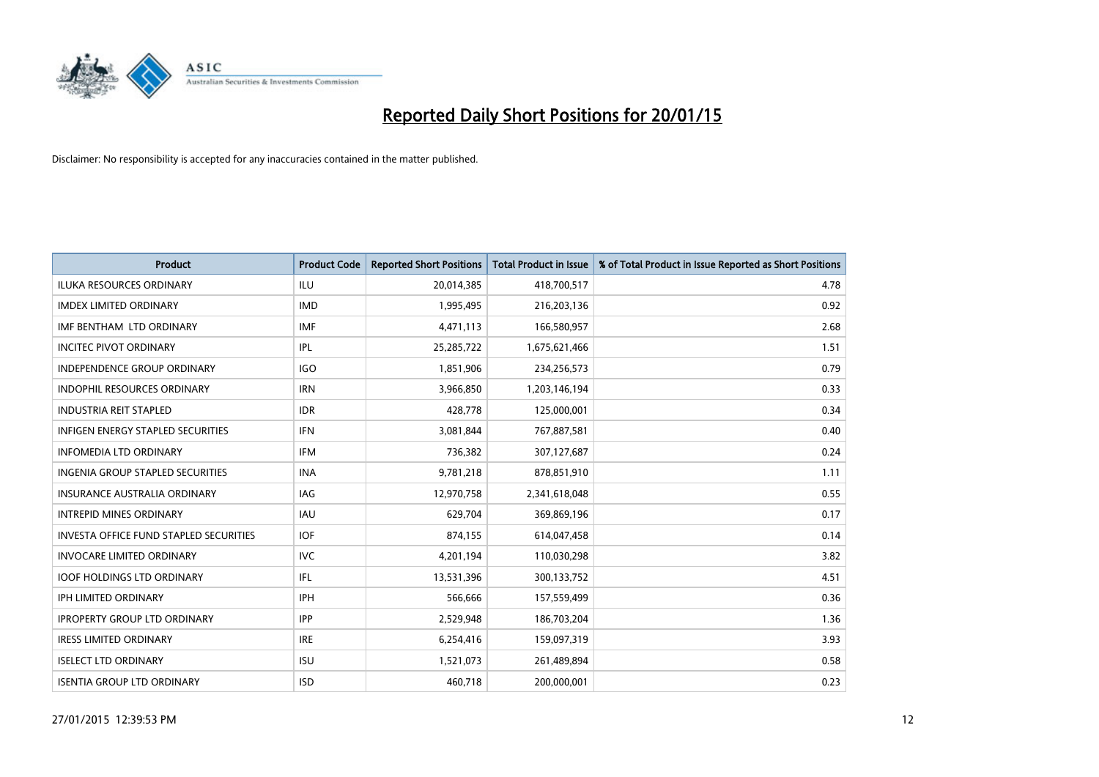

| <b>Product</b>                                | <b>Product Code</b> | <b>Reported Short Positions</b> | <b>Total Product in Issue</b> | % of Total Product in Issue Reported as Short Positions |
|-----------------------------------------------|---------------------|---------------------------------|-------------------------------|---------------------------------------------------------|
| <b>ILUKA RESOURCES ORDINARY</b>               | <b>ILU</b>          | 20,014,385                      | 418,700,517                   | 4.78                                                    |
| <b>IMDEX LIMITED ORDINARY</b>                 | <b>IMD</b>          | 1,995,495                       | 216,203,136                   | 0.92                                                    |
| IMF BENTHAM LTD ORDINARY                      | <b>IMF</b>          | 4,471,113                       | 166,580,957                   | 2.68                                                    |
| <b>INCITEC PIVOT ORDINARY</b>                 | IPL                 | 25,285,722                      | 1,675,621,466                 | 1.51                                                    |
| <b>INDEPENDENCE GROUP ORDINARY</b>            | IGO                 | 1,851,906                       | 234,256,573                   | 0.79                                                    |
| <b>INDOPHIL RESOURCES ORDINARY</b>            | <b>IRN</b>          | 3,966,850                       | 1,203,146,194                 | 0.33                                                    |
| <b>INDUSTRIA REIT STAPLED</b>                 | <b>IDR</b>          | 428,778                         | 125,000,001                   | 0.34                                                    |
| INFIGEN ENERGY STAPLED SECURITIES             | <b>IFN</b>          | 3,081,844                       | 767,887,581                   | 0.40                                                    |
| <b>INFOMEDIA LTD ORDINARY</b>                 | <b>IFM</b>          | 736,382                         | 307,127,687                   | 0.24                                                    |
| INGENIA GROUP STAPLED SECURITIES              | <b>INA</b>          | 9,781,218                       | 878,851,910                   | 1.11                                                    |
| INSURANCE AUSTRALIA ORDINARY                  | IAG                 | 12,970,758                      | 2,341,618,048                 | 0.55                                                    |
| <b>INTREPID MINES ORDINARY</b>                | IAU                 | 629,704                         | 369,869,196                   | 0.17                                                    |
| <b>INVESTA OFFICE FUND STAPLED SECURITIES</b> | <b>IOF</b>          | 874,155                         | 614,047,458                   | 0.14                                                    |
| <b>INVOCARE LIMITED ORDINARY</b>              | <b>IVC</b>          | 4,201,194                       | 110,030,298                   | 3.82                                                    |
| <b>IOOF HOLDINGS LTD ORDINARY</b>             | IFL                 | 13,531,396                      | 300,133,752                   | 4.51                                                    |
| IPH LIMITED ORDINARY                          | IPH                 | 566,666                         | 157,559,499                   | 0.36                                                    |
| <b>IPROPERTY GROUP LTD ORDINARY</b>           | <b>IPP</b>          | 2,529,948                       | 186,703,204                   | 1.36                                                    |
| <b>IRESS LIMITED ORDINARY</b>                 | <b>IRE</b>          | 6,254,416                       | 159,097,319                   | 3.93                                                    |
| <b>ISELECT LTD ORDINARY</b>                   | <b>ISU</b>          | 1,521,073                       | 261,489,894                   | 0.58                                                    |
| <b>ISENTIA GROUP LTD ORDINARY</b>             | <b>ISD</b>          | 460,718                         | 200,000,001                   | 0.23                                                    |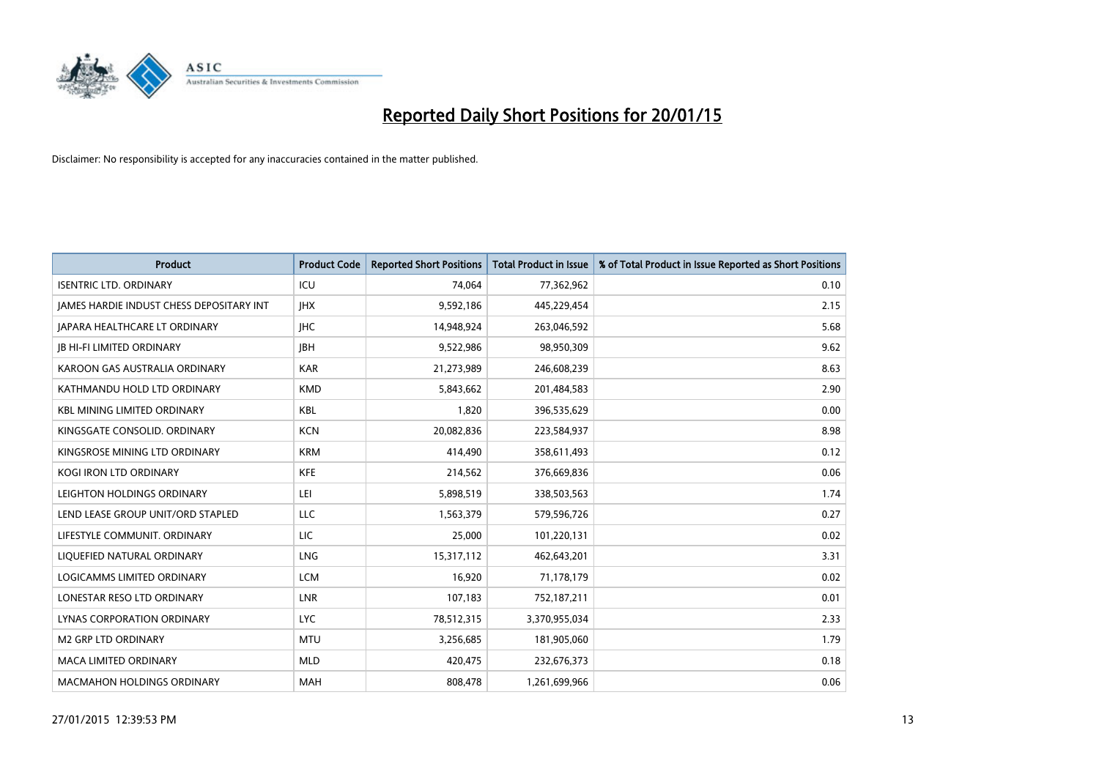

| <b>Product</b>                           | <b>Product Code</b> | <b>Reported Short Positions</b> | <b>Total Product in Issue</b> | % of Total Product in Issue Reported as Short Positions |
|------------------------------------------|---------------------|---------------------------------|-------------------------------|---------------------------------------------------------|
| <b>ISENTRIC LTD. ORDINARY</b>            | ICU                 | 74,064                          | 77,362,962                    | 0.10                                                    |
| JAMES HARDIE INDUST CHESS DEPOSITARY INT | <b>IHX</b>          | 9,592,186                       | 445,229,454                   | 2.15                                                    |
| <b>IAPARA HEALTHCARE LT ORDINARY</b>     | <b>IHC</b>          | 14,948,924                      | 263,046,592                   | 5.68                                                    |
| <b>JB HI-FI LIMITED ORDINARY</b>         | <b>JBH</b>          | 9,522,986                       | 98,950,309                    | 9.62                                                    |
| KAROON GAS AUSTRALIA ORDINARY            | <b>KAR</b>          | 21,273,989                      | 246,608,239                   | 8.63                                                    |
| KATHMANDU HOLD LTD ORDINARY              | <b>KMD</b>          | 5,843,662                       | 201,484,583                   | 2.90                                                    |
| <b>KBL MINING LIMITED ORDINARY</b>       | <b>KBL</b>          | 1,820                           | 396,535,629                   | 0.00                                                    |
| KINGSGATE CONSOLID. ORDINARY             | <b>KCN</b>          | 20,082,836                      | 223,584,937                   | 8.98                                                    |
| KINGSROSE MINING LTD ORDINARY            | <b>KRM</b>          | 414,490                         | 358,611,493                   | 0.12                                                    |
| <b>KOGI IRON LTD ORDINARY</b>            | <b>KFE</b>          | 214,562                         | 376,669,836                   | 0.06                                                    |
| LEIGHTON HOLDINGS ORDINARY               | LEI                 | 5,898,519                       | 338,503,563                   | 1.74                                                    |
| LEND LEASE GROUP UNIT/ORD STAPLED        | LLC                 | 1,563,379                       | 579,596,726                   | 0.27                                                    |
| LIFESTYLE COMMUNIT. ORDINARY             | LIC                 | 25,000                          | 101,220,131                   | 0.02                                                    |
| LIQUEFIED NATURAL ORDINARY               | LNG                 | 15,317,112                      | 462,643,201                   | 3.31                                                    |
| LOGICAMMS LIMITED ORDINARY               | <b>LCM</b>          | 16,920                          | 71,178,179                    | 0.02                                                    |
| LONESTAR RESO LTD ORDINARY               | LNR                 | 107,183                         | 752,187,211                   | 0.01                                                    |
| LYNAS CORPORATION ORDINARY               | <b>LYC</b>          | 78,512,315                      | 3,370,955,034                 | 2.33                                                    |
| <b>M2 GRP LTD ORDINARY</b>               | <b>MTU</b>          | 3,256,685                       | 181,905,060                   | 1.79                                                    |
| <b>MACA LIMITED ORDINARY</b>             | <b>MLD</b>          | 420,475                         | 232,676,373                   | 0.18                                                    |
| <b>MACMAHON HOLDINGS ORDINARY</b>        | <b>MAH</b>          | 808,478                         | 1,261,699,966                 | 0.06                                                    |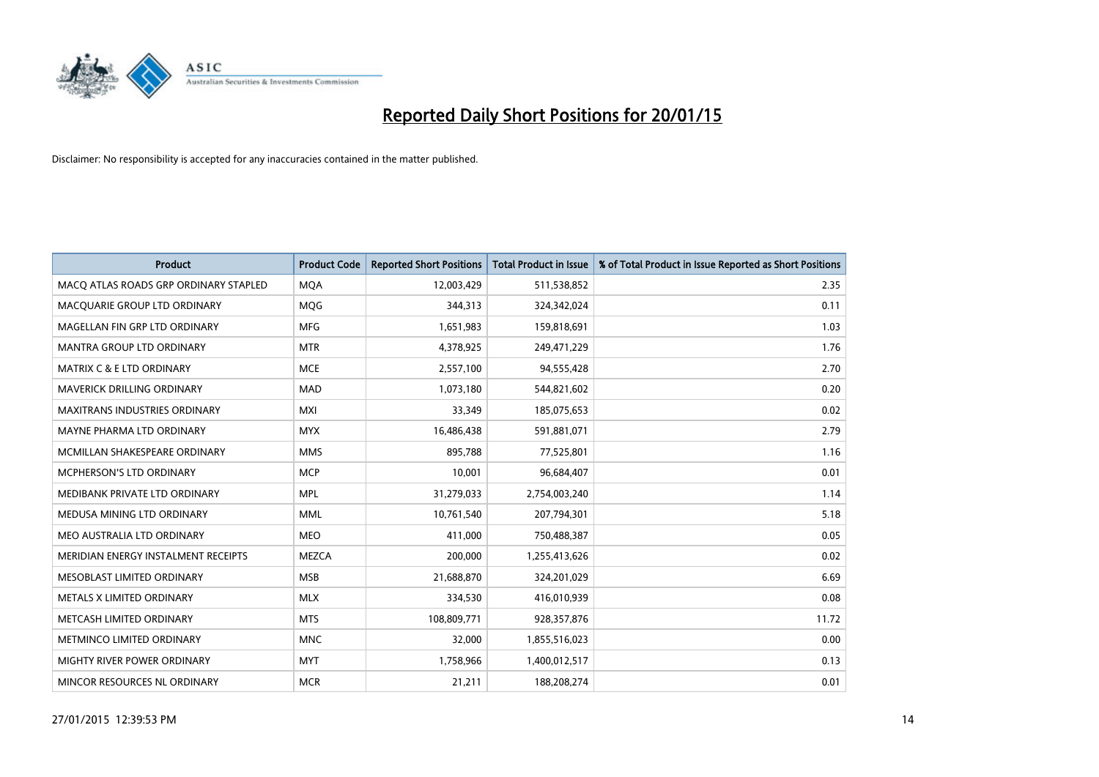

| <b>Product</b>                        | <b>Product Code</b> | <b>Reported Short Positions</b> | <b>Total Product in Issue</b> | % of Total Product in Issue Reported as Short Positions |
|---------------------------------------|---------------------|---------------------------------|-------------------------------|---------------------------------------------------------|
| MACO ATLAS ROADS GRP ORDINARY STAPLED | <b>MQA</b>          | 12,003,429                      | 511,538,852                   | 2.35                                                    |
| MACQUARIE GROUP LTD ORDINARY          | MQG                 | 344,313                         | 324,342,024                   | 0.11                                                    |
| MAGELLAN FIN GRP LTD ORDINARY         | <b>MFG</b>          | 1,651,983                       | 159,818,691                   | 1.03                                                    |
| <b>MANTRA GROUP LTD ORDINARY</b>      | <b>MTR</b>          | 4,378,925                       | 249,471,229                   | 1.76                                                    |
| <b>MATRIX C &amp; E LTD ORDINARY</b>  | <b>MCE</b>          | 2,557,100                       | 94,555,428                    | 2.70                                                    |
| MAVERICK DRILLING ORDINARY            | <b>MAD</b>          | 1,073,180                       | 544,821,602                   | 0.20                                                    |
| <b>MAXITRANS INDUSTRIES ORDINARY</b>  | <b>MXI</b>          | 33,349                          | 185,075,653                   | 0.02                                                    |
| MAYNE PHARMA LTD ORDINARY             | <b>MYX</b>          | 16,486,438                      | 591,881,071                   | 2.79                                                    |
| MCMILLAN SHAKESPEARE ORDINARY         | <b>MMS</b>          | 895,788                         | 77,525,801                    | 1.16                                                    |
| MCPHERSON'S LTD ORDINARY              | <b>MCP</b>          | 10,001                          | 96,684,407                    | 0.01                                                    |
| MEDIBANK PRIVATE LTD ORDINARY         | <b>MPL</b>          | 31,279,033                      | 2,754,003,240                 | 1.14                                                    |
| MEDUSA MINING LTD ORDINARY            | <b>MML</b>          | 10,761,540                      | 207,794,301                   | 5.18                                                    |
| MEO AUSTRALIA LTD ORDINARY            | <b>MEO</b>          | 411,000                         | 750,488,387                   | 0.05                                                    |
| MERIDIAN ENERGY INSTALMENT RECEIPTS   | <b>MEZCA</b>        | 200,000                         | 1,255,413,626                 | 0.02                                                    |
| MESOBLAST LIMITED ORDINARY            | <b>MSB</b>          | 21,688,870                      | 324,201,029                   | 6.69                                                    |
| METALS X LIMITED ORDINARY             | <b>MLX</b>          | 334,530                         | 416,010,939                   | 0.08                                                    |
| METCASH LIMITED ORDINARY              | <b>MTS</b>          | 108,809,771                     | 928,357,876                   | 11.72                                                   |
| METMINCO LIMITED ORDINARY             | <b>MNC</b>          | 32.000                          | 1,855,516,023                 | 0.00                                                    |
| MIGHTY RIVER POWER ORDINARY           | <b>MYT</b>          | 1,758,966                       | 1,400,012,517                 | 0.13                                                    |
| MINCOR RESOURCES NL ORDINARY          | <b>MCR</b>          | 21,211                          | 188,208,274                   | 0.01                                                    |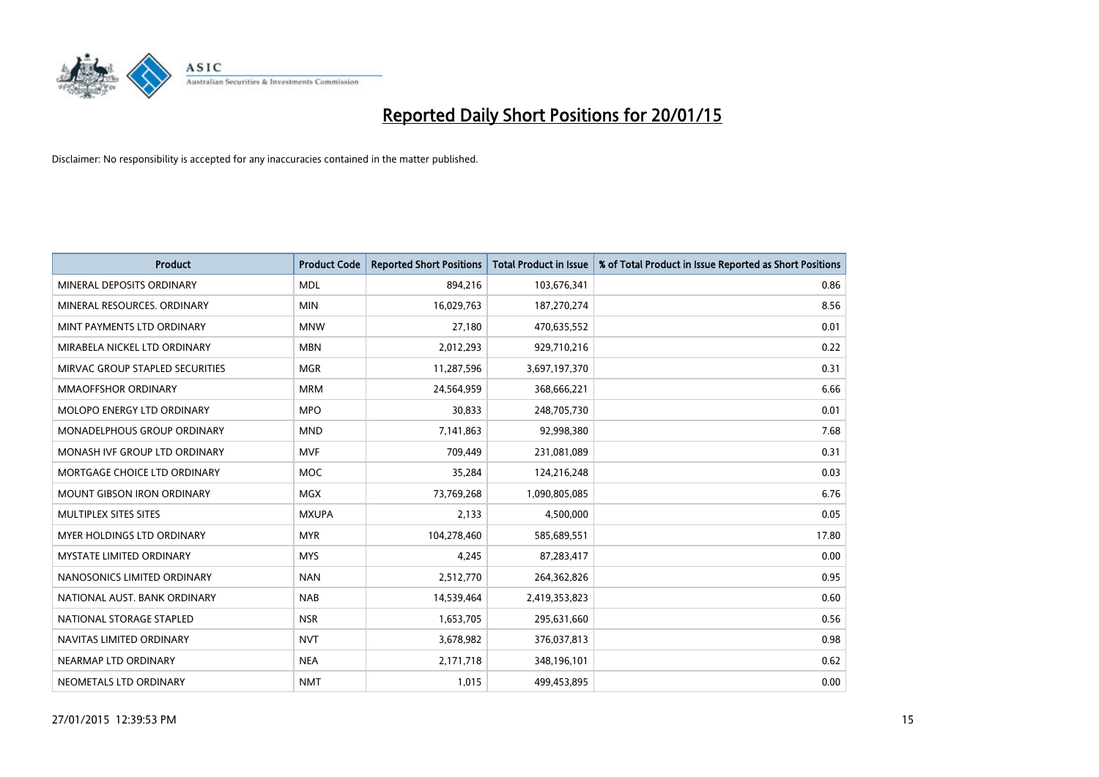

| <b>Product</b>                    | <b>Product Code</b> | <b>Reported Short Positions</b> | <b>Total Product in Issue</b> | % of Total Product in Issue Reported as Short Positions |
|-----------------------------------|---------------------|---------------------------------|-------------------------------|---------------------------------------------------------|
| MINERAL DEPOSITS ORDINARY         | <b>MDL</b>          | 894,216                         | 103,676,341                   | 0.86                                                    |
| MINERAL RESOURCES, ORDINARY       | <b>MIN</b>          | 16,029,763                      | 187,270,274                   | 8.56                                                    |
| MINT PAYMENTS LTD ORDINARY        | <b>MNW</b>          | 27,180                          | 470,635,552                   | 0.01                                                    |
| MIRABELA NICKEL LTD ORDINARY      | <b>MBN</b>          | 2,012,293                       | 929,710,216                   | 0.22                                                    |
| MIRVAC GROUP STAPLED SECURITIES   | <b>MGR</b>          | 11,287,596                      | 3,697,197,370                 | 0.31                                                    |
| <b>MMAOFFSHOR ORDINARY</b>        | <b>MRM</b>          | 24,564,959                      | 368,666,221                   | 6.66                                                    |
| <b>MOLOPO ENERGY LTD ORDINARY</b> | <b>MPO</b>          | 30,833                          | 248,705,730                   | 0.01                                                    |
| MONADELPHOUS GROUP ORDINARY       | <b>MND</b>          | 7,141,863                       | 92,998,380                    | 7.68                                                    |
| MONASH IVF GROUP LTD ORDINARY     | <b>MVF</b>          | 709,449                         | 231,081,089                   | 0.31                                                    |
| MORTGAGE CHOICE LTD ORDINARY      | <b>MOC</b>          | 35,284                          | 124,216,248                   | 0.03                                                    |
| <b>MOUNT GIBSON IRON ORDINARY</b> | <b>MGX</b>          | 73,769,268                      | 1,090,805,085                 | 6.76                                                    |
| MULTIPLEX SITES SITES             | <b>MXUPA</b>        | 2,133                           | 4,500,000                     | 0.05                                                    |
| MYER HOLDINGS LTD ORDINARY        | <b>MYR</b>          | 104,278,460                     | 585,689,551                   | 17.80                                                   |
| <b>MYSTATE LIMITED ORDINARY</b>   | <b>MYS</b>          | 4,245                           | 87,283,417                    | 0.00                                                    |
| NANOSONICS LIMITED ORDINARY       | <b>NAN</b>          | 2,512,770                       | 264,362,826                   | 0.95                                                    |
| NATIONAL AUST. BANK ORDINARY      | <b>NAB</b>          | 14,539,464                      | 2,419,353,823                 | 0.60                                                    |
| NATIONAL STORAGE STAPLED          | <b>NSR</b>          | 1,653,705                       | 295,631,660                   | 0.56                                                    |
| NAVITAS LIMITED ORDINARY          | <b>NVT</b>          | 3,678,982                       | 376,037,813                   | 0.98                                                    |
| NEARMAP LTD ORDINARY              | <b>NEA</b>          | 2,171,718                       | 348,196,101                   | 0.62                                                    |
| NEOMETALS LTD ORDINARY            | <b>NMT</b>          | 1,015                           | 499,453,895                   | 0.00                                                    |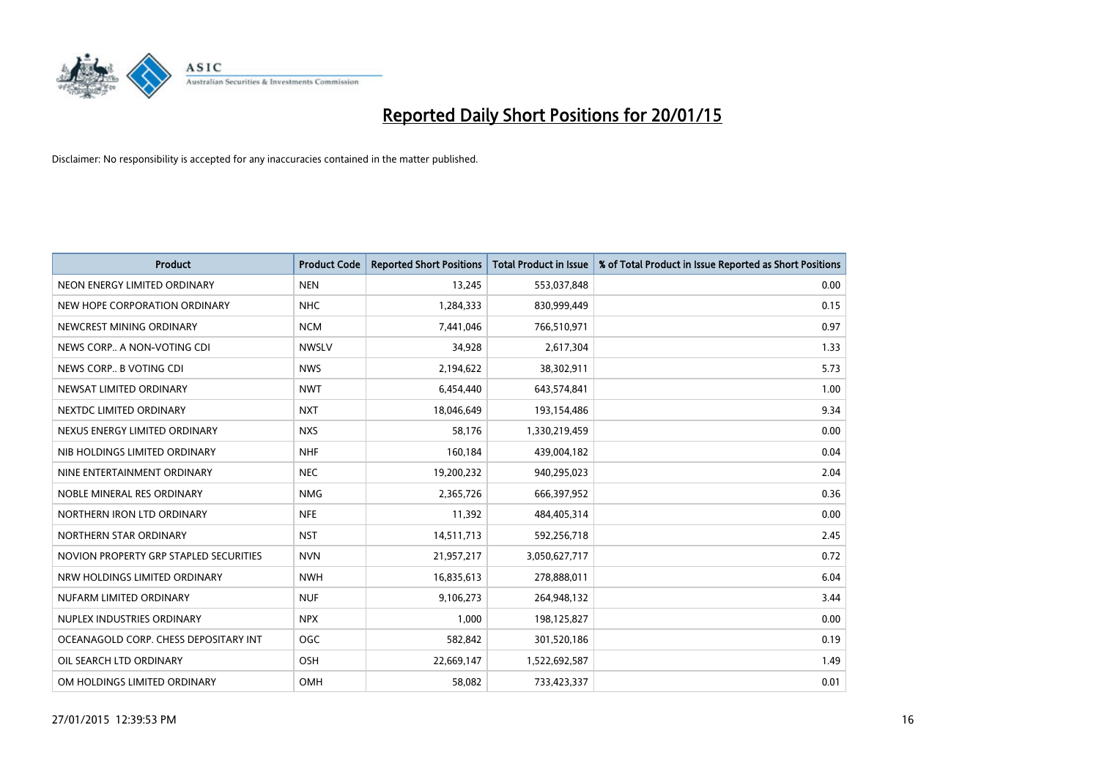

| <b>Product</b>                         | <b>Product Code</b> | <b>Reported Short Positions</b> | <b>Total Product in Issue</b> | % of Total Product in Issue Reported as Short Positions |
|----------------------------------------|---------------------|---------------------------------|-------------------------------|---------------------------------------------------------|
| NEON ENERGY LIMITED ORDINARY           | <b>NEN</b>          | 13,245                          | 553,037,848                   | 0.00                                                    |
| NEW HOPE CORPORATION ORDINARY          | <b>NHC</b>          | 1,284,333                       | 830,999,449                   | 0.15                                                    |
| NEWCREST MINING ORDINARY               | <b>NCM</b>          | 7,441,046                       | 766,510,971                   | 0.97                                                    |
| NEWS CORP A NON-VOTING CDI             | <b>NWSLV</b>        | 34,928                          | 2,617,304                     | 1.33                                                    |
| NEWS CORP B VOTING CDI                 | <b>NWS</b>          | 2,194,622                       | 38,302,911                    | 5.73                                                    |
| NEWSAT LIMITED ORDINARY                | <b>NWT</b>          | 6,454,440                       | 643,574,841                   | 1.00                                                    |
| NEXTDC LIMITED ORDINARY                | <b>NXT</b>          | 18,046,649                      | 193,154,486                   | 9.34                                                    |
| NEXUS ENERGY LIMITED ORDINARY          | <b>NXS</b>          | 58,176                          | 1,330,219,459                 | 0.00                                                    |
| NIB HOLDINGS LIMITED ORDINARY          | <b>NHF</b>          | 160,184                         | 439,004,182                   | 0.04                                                    |
| NINE ENTERTAINMENT ORDINARY            | <b>NEC</b>          | 19,200,232                      | 940,295,023                   | 2.04                                                    |
| NOBLE MINERAL RES ORDINARY             | <b>NMG</b>          | 2,365,726                       | 666,397,952                   | 0.36                                                    |
| NORTHERN IRON LTD ORDINARY             | <b>NFE</b>          | 11,392                          | 484,405,314                   | 0.00                                                    |
| NORTHERN STAR ORDINARY                 | <b>NST</b>          | 14,511,713                      | 592,256,718                   | 2.45                                                    |
| NOVION PROPERTY GRP STAPLED SECURITIES | <b>NVN</b>          | 21,957,217                      | 3,050,627,717                 | 0.72                                                    |
| NRW HOLDINGS LIMITED ORDINARY          | <b>NWH</b>          | 16,835,613                      | 278,888,011                   | 6.04                                                    |
| NUFARM LIMITED ORDINARY                | <b>NUF</b>          | 9,106,273                       | 264,948,132                   | 3.44                                                    |
| NUPLEX INDUSTRIES ORDINARY             | <b>NPX</b>          | 1,000                           | 198,125,827                   | 0.00                                                    |
| OCEANAGOLD CORP. CHESS DEPOSITARY INT  | OGC                 | 582,842                         | 301,520,186                   | 0.19                                                    |
| OIL SEARCH LTD ORDINARY                | OSH                 | 22,669,147                      | 1,522,692,587                 | 1.49                                                    |
| OM HOLDINGS LIMITED ORDINARY           | OMH                 | 58,082                          | 733,423,337                   | 0.01                                                    |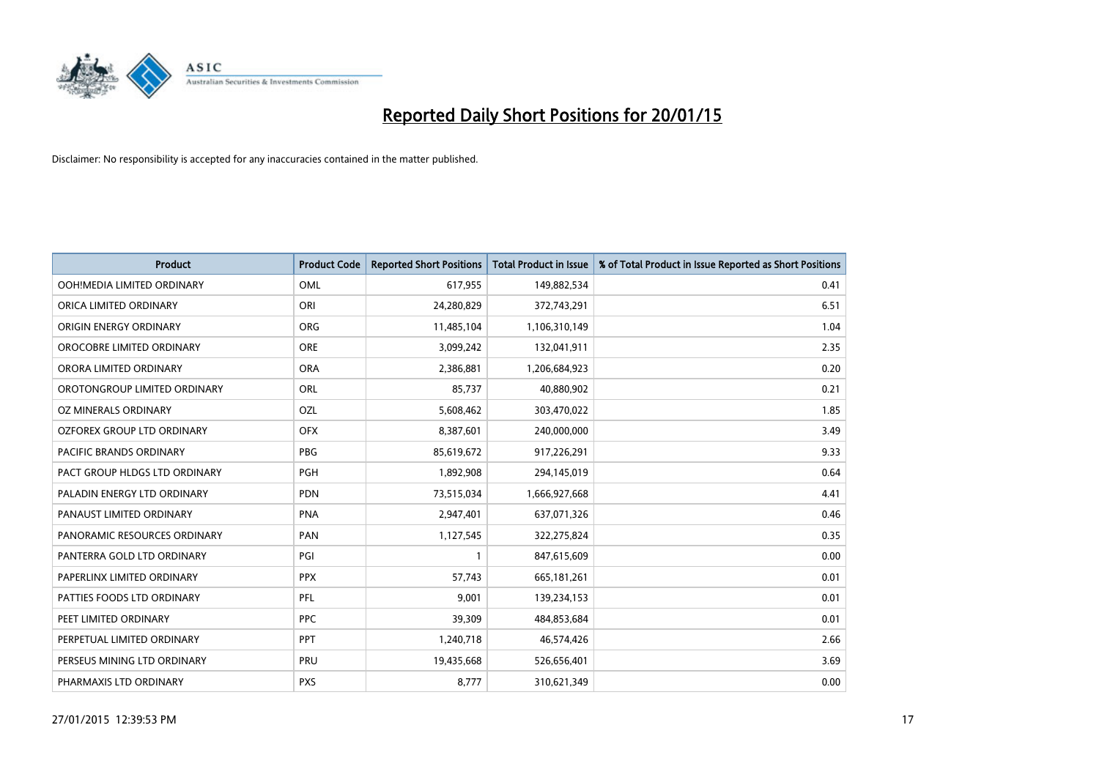

| <b>Product</b>                    | <b>Product Code</b> | <b>Reported Short Positions</b> | <b>Total Product in Issue</b> | % of Total Product in Issue Reported as Short Positions |
|-----------------------------------|---------------------|---------------------------------|-------------------------------|---------------------------------------------------------|
| OOH!MEDIA LIMITED ORDINARY        | OML                 | 617,955                         | 149,882,534                   | 0.41                                                    |
| ORICA LIMITED ORDINARY            | ORI                 | 24,280,829                      | 372,743,291                   | 6.51                                                    |
| ORIGIN ENERGY ORDINARY            | <b>ORG</b>          | 11,485,104                      | 1,106,310,149                 | 1.04                                                    |
| OROCOBRE LIMITED ORDINARY         | <b>ORE</b>          | 3,099,242                       | 132,041,911                   | 2.35                                                    |
| ORORA LIMITED ORDINARY            | <b>ORA</b>          | 2,386,881                       | 1,206,684,923                 | 0.20                                                    |
| OROTONGROUP LIMITED ORDINARY      | ORL                 | 85,737                          | 40,880,902                    | 0.21                                                    |
| OZ MINERALS ORDINARY              | OZL                 | 5,608,462                       | 303,470,022                   | 1.85                                                    |
| <b>OZFOREX GROUP LTD ORDINARY</b> | <b>OFX</b>          | 8,387,601                       | 240,000,000                   | 3.49                                                    |
| PACIFIC BRANDS ORDINARY           | <b>PBG</b>          | 85,619,672                      | 917,226,291                   | 9.33                                                    |
| PACT GROUP HLDGS LTD ORDINARY     | <b>PGH</b>          | 1,892,908                       | 294,145,019                   | 0.64                                                    |
| PALADIN ENERGY LTD ORDINARY       | <b>PDN</b>          | 73,515,034                      | 1,666,927,668                 | 4.41                                                    |
| PANAUST LIMITED ORDINARY          | <b>PNA</b>          | 2,947,401                       | 637,071,326                   | 0.46                                                    |
| PANORAMIC RESOURCES ORDINARY      | PAN                 | 1,127,545                       | 322,275,824                   | 0.35                                                    |
| PANTERRA GOLD LTD ORDINARY        | PGI                 | $\mathbf{1}$                    | 847,615,609                   | 0.00                                                    |
| PAPERLINX LIMITED ORDINARY        | <b>PPX</b>          | 57,743                          | 665,181,261                   | 0.01                                                    |
| PATTIES FOODS LTD ORDINARY        | <b>PFL</b>          | 9,001                           | 139,234,153                   | 0.01                                                    |
| PEET LIMITED ORDINARY             | <b>PPC</b>          | 39,309                          | 484,853,684                   | 0.01                                                    |
| PERPETUAL LIMITED ORDINARY        | <b>PPT</b>          | 1,240,718                       | 46,574,426                    | 2.66                                                    |
| PERSEUS MINING LTD ORDINARY       | PRU                 | 19,435,668                      | 526,656,401                   | 3.69                                                    |
| PHARMAXIS LTD ORDINARY            | <b>PXS</b>          | 8,777                           | 310,621,349                   | 0.00                                                    |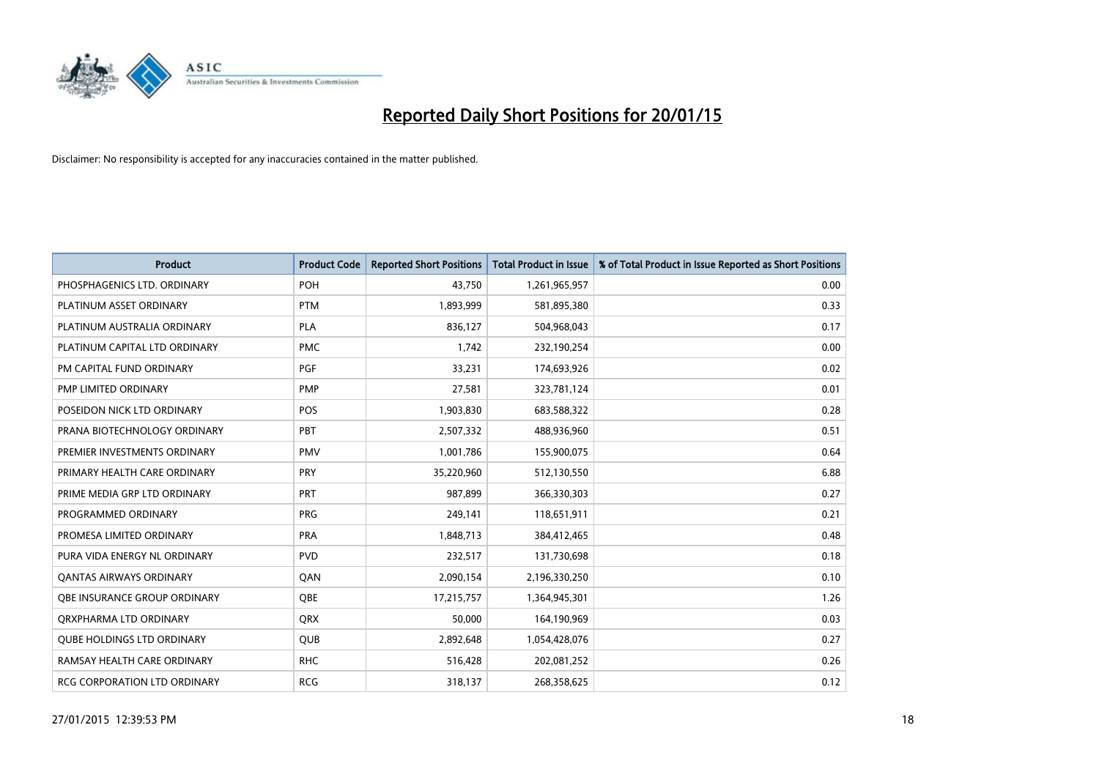

| <b>Product</b>                    | <b>Product Code</b> | <b>Reported Short Positions</b> | <b>Total Product in Issue</b> | % of Total Product in Issue Reported as Short Positions |
|-----------------------------------|---------------------|---------------------------------|-------------------------------|---------------------------------------------------------|
| PHOSPHAGENICS LTD. ORDINARY       | POH                 | 43,750                          | 1,261,965,957                 | 0.00                                                    |
| PLATINUM ASSET ORDINARY           | <b>PTM</b>          | 1,893,999                       | 581,895,380                   | 0.33                                                    |
| PLATINUM AUSTRALIA ORDINARY       | <b>PLA</b>          | 836,127                         | 504,968,043                   | 0.17                                                    |
| PLATINUM CAPITAL LTD ORDINARY     | <b>PMC</b>          | 1,742                           | 232,190,254                   | 0.00                                                    |
| PM CAPITAL FUND ORDINARY          | <b>PGF</b>          | 33,231                          | 174,693,926                   | 0.02                                                    |
| PMP LIMITED ORDINARY              | <b>PMP</b>          | 27,581                          | 323,781,124                   | 0.01                                                    |
| POSEIDON NICK LTD ORDINARY        | <b>POS</b>          | 1,903,830                       | 683,588,322                   | 0.28                                                    |
| PRANA BIOTECHNOLOGY ORDINARY      | <b>PBT</b>          | 2,507,332                       | 488,936,960                   | 0.51                                                    |
| PREMIER INVESTMENTS ORDINARY      | <b>PMV</b>          | 1,001,786                       | 155,900,075                   | 0.64                                                    |
| PRIMARY HEALTH CARE ORDINARY      | <b>PRY</b>          | 35,220,960                      | 512,130,550                   | 6.88                                                    |
| PRIME MEDIA GRP LTD ORDINARY      | <b>PRT</b>          | 987,899                         | 366,330,303                   | 0.27                                                    |
| PROGRAMMED ORDINARY               | <b>PRG</b>          | 249,141                         | 118,651,911                   | 0.21                                                    |
| PROMESA LIMITED ORDINARY          | <b>PRA</b>          | 1,848,713                       | 384,412,465                   | 0.48                                                    |
| PURA VIDA ENERGY NL ORDINARY      | <b>PVD</b>          | 232,517                         | 131,730,698                   | 0.18                                                    |
| <b>QANTAS AIRWAYS ORDINARY</b>    | QAN                 | 2,090,154                       | 2,196,330,250                 | 0.10                                                    |
| OBE INSURANCE GROUP ORDINARY      | QBE                 | 17,215,757                      | 1,364,945,301                 | 1.26                                                    |
| ORXPHARMA LTD ORDINARY            | QRX                 | 50,000                          | 164,190,969                   | 0.03                                                    |
| <b>OUBE HOLDINGS LTD ORDINARY</b> | <b>QUB</b>          | 2,892,648                       | 1,054,428,076                 | 0.27                                                    |
| RAMSAY HEALTH CARE ORDINARY       | <b>RHC</b>          | 516,428                         | 202,081,252                   | 0.26                                                    |
| RCG CORPORATION LTD ORDINARY      | <b>RCG</b>          | 318,137                         | 268,358,625                   | 0.12                                                    |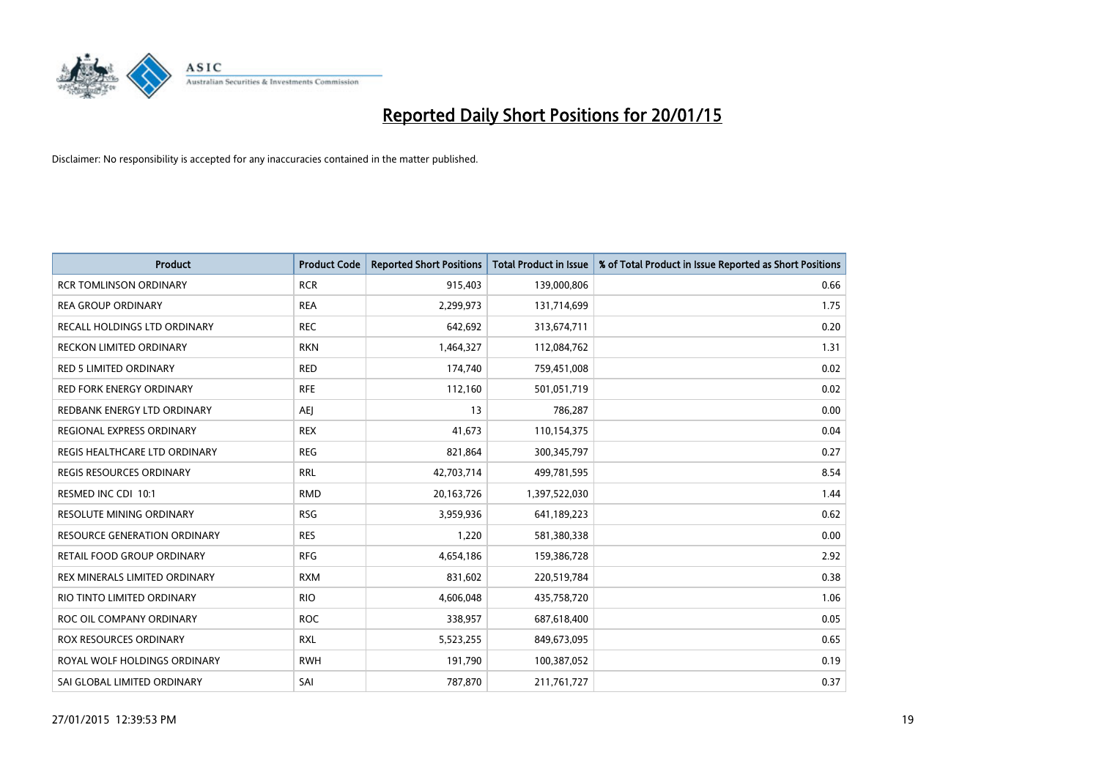

| <b>Product</b>                      | <b>Product Code</b> | <b>Reported Short Positions</b> | <b>Total Product in Issue</b> | % of Total Product in Issue Reported as Short Positions |
|-------------------------------------|---------------------|---------------------------------|-------------------------------|---------------------------------------------------------|
| <b>RCR TOMLINSON ORDINARY</b>       | <b>RCR</b>          | 915,403                         | 139,000,806                   | 0.66                                                    |
| <b>REA GROUP ORDINARY</b>           | <b>REA</b>          | 2,299,973                       | 131,714,699                   | 1.75                                                    |
| <b>RECALL HOLDINGS LTD ORDINARY</b> | <b>REC</b>          | 642,692                         | 313,674,711                   | 0.20                                                    |
| RECKON LIMITED ORDINARY             | <b>RKN</b>          | 1,464,327                       | 112,084,762                   | 1.31                                                    |
| <b>RED 5 LIMITED ORDINARY</b>       | <b>RED</b>          | 174,740                         | 759,451,008                   | 0.02                                                    |
| <b>RED FORK ENERGY ORDINARY</b>     | <b>RFE</b>          | 112,160                         | 501,051,719                   | 0.02                                                    |
| REDBANK ENERGY LTD ORDINARY         | AEJ                 | 13                              | 786,287                       | 0.00                                                    |
| REGIONAL EXPRESS ORDINARY           | <b>REX</b>          | 41,673                          | 110,154,375                   | 0.04                                                    |
| REGIS HEALTHCARE LTD ORDINARY       | <b>REG</b>          | 821,864                         | 300,345,797                   | 0.27                                                    |
| <b>REGIS RESOURCES ORDINARY</b>     | <b>RRL</b>          | 42,703,714                      | 499,781,595                   | 8.54                                                    |
| RESMED INC CDI 10:1                 | <b>RMD</b>          | 20,163,726                      | 1,397,522,030                 | 1.44                                                    |
| RESOLUTE MINING ORDINARY            | <b>RSG</b>          | 3,959,936                       | 641,189,223                   | 0.62                                                    |
| <b>RESOURCE GENERATION ORDINARY</b> | <b>RES</b>          | 1,220                           | 581,380,338                   | 0.00                                                    |
| <b>RETAIL FOOD GROUP ORDINARY</b>   | <b>RFG</b>          | 4,654,186                       | 159,386,728                   | 2.92                                                    |
| REX MINERALS LIMITED ORDINARY       | <b>RXM</b>          | 831,602                         | 220,519,784                   | 0.38                                                    |
| RIO TINTO LIMITED ORDINARY          | <b>RIO</b>          | 4,606,048                       | 435,758,720                   | 1.06                                                    |
| ROC OIL COMPANY ORDINARY            | <b>ROC</b>          | 338,957                         | 687,618,400                   | 0.05                                                    |
| ROX RESOURCES ORDINARY              | <b>RXL</b>          | 5,523,255                       | 849,673,095                   | 0.65                                                    |
| ROYAL WOLF HOLDINGS ORDINARY        | <b>RWH</b>          | 191,790                         | 100,387,052                   | 0.19                                                    |
| SAI GLOBAL LIMITED ORDINARY         | SAI                 | 787,870                         | 211,761,727                   | 0.37                                                    |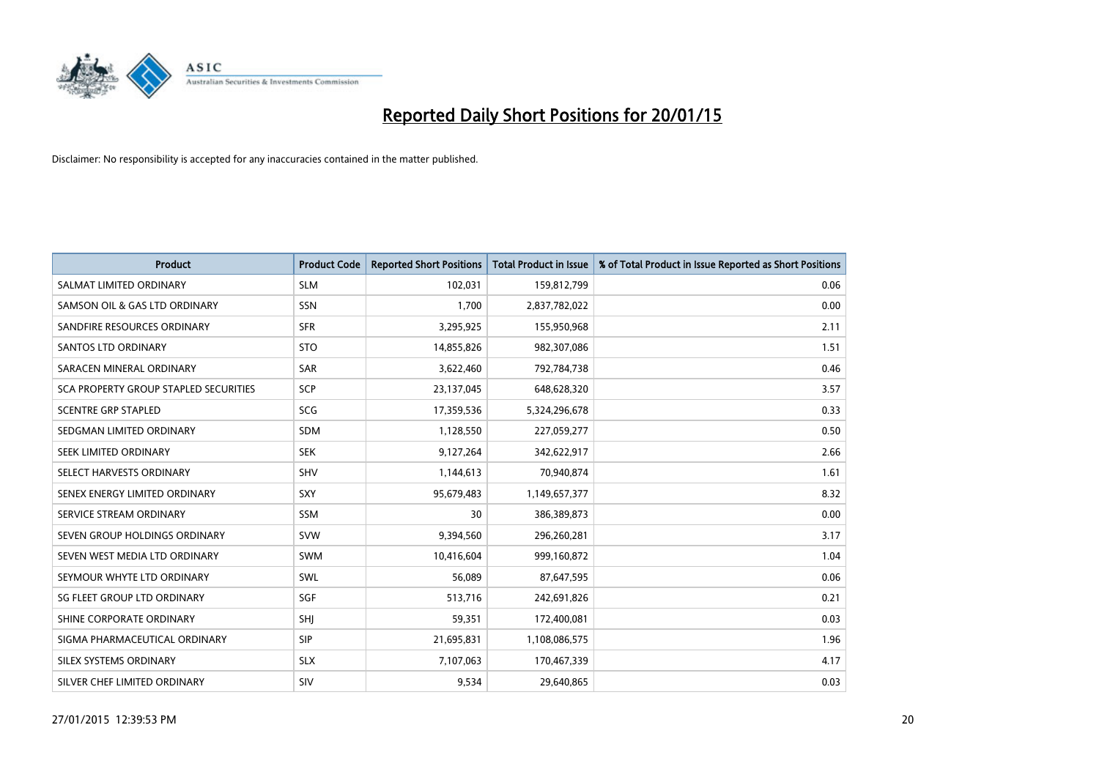

| <b>Product</b>                        | <b>Product Code</b> | <b>Reported Short Positions</b> | <b>Total Product in Issue</b> | % of Total Product in Issue Reported as Short Positions |
|---------------------------------------|---------------------|---------------------------------|-------------------------------|---------------------------------------------------------|
| SALMAT LIMITED ORDINARY               | <b>SLM</b>          | 102,031                         | 159,812,799                   | 0.06                                                    |
| SAMSON OIL & GAS LTD ORDINARY         | <b>SSN</b>          | 1,700                           | 2,837,782,022                 | 0.00                                                    |
| SANDFIRE RESOURCES ORDINARY           | <b>SFR</b>          | 3,295,925                       | 155,950,968                   | 2.11                                                    |
| SANTOS LTD ORDINARY                   | <b>STO</b>          | 14,855,826                      | 982,307,086                   | 1.51                                                    |
| SARACEN MINERAL ORDINARY              | SAR                 | 3,622,460                       | 792,784,738                   | 0.46                                                    |
| SCA PROPERTY GROUP STAPLED SECURITIES | SCP                 | 23,137,045                      | 648,628,320                   | 3.57                                                    |
| <b>SCENTRE GRP STAPLED</b>            | <b>SCG</b>          | 17,359,536                      | 5,324,296,678                 | 0.33                                                    |
| SEDGMAN LIMITED ORDINARY              | <b>SDM</b>          | 1,128,550                       | 227,059,277                   | 0.50                                                    |
| SEEK LIMITED ORDINARY                 | <b>SEK</b>          | 9,127,264                       | 342,622,917                   | 2.66                                                    |
| SELECT HARVESTS ORDINARY              | SHV                 | 1,144,613                       | 70,940,874                    | 1.61                                                    |
| SENEX ENERGY LIMITED ORDINARY         | SXY                 | 95,679,483                      | 1,149,657,377                 | 8.32                                                    |
| SERVICE STREAM ORDINARY               | <b>SSM</b>          | 30                              | 386,389,873                   | 0.00                                                    |
| SEVEN GROUP HOLDINGS ORDINARY         | <b>SVW</b>          | 9,394,560                       | 296,260,281                   | 3.17                                                    |
| SEVEN WEST MEDIA LTD ORDINARY         | <b>SWM</b>          | 10,416,604                      | 999,160,872                   | 1.04                                                    |
| SEYMOUR WHYTE LTD ORDINARY            | SWL                 | 56,089                          | 87,647,595                    | 0.06                                                    |
| SG FLEET GROUP LTD ORDINARY           | SGF                 | 513,716                         | 242,691,826                   | 0.21                                                    |
| SHINE CORPORATE ORDINARY              | SHJ                 | 59,351                          | 172,400,081                   | 0.03                                                    |
| SIGMA PHARMACEUTICAL ORDINARY         | <b>SIP</b>          | 21,695,831                      | 1,108,086,575                 | 1.96                                                    |
| SILEX SYSTEMS ORDINARY                | <b>SLX</b>          | 7,107,063                       | 170,467,339                   | 4.17                                                    |
| SILVER CHEF LIMITED ORDINARY          | SIV                 | 9,534                           | 29,640,865                    | 0.03                                                    |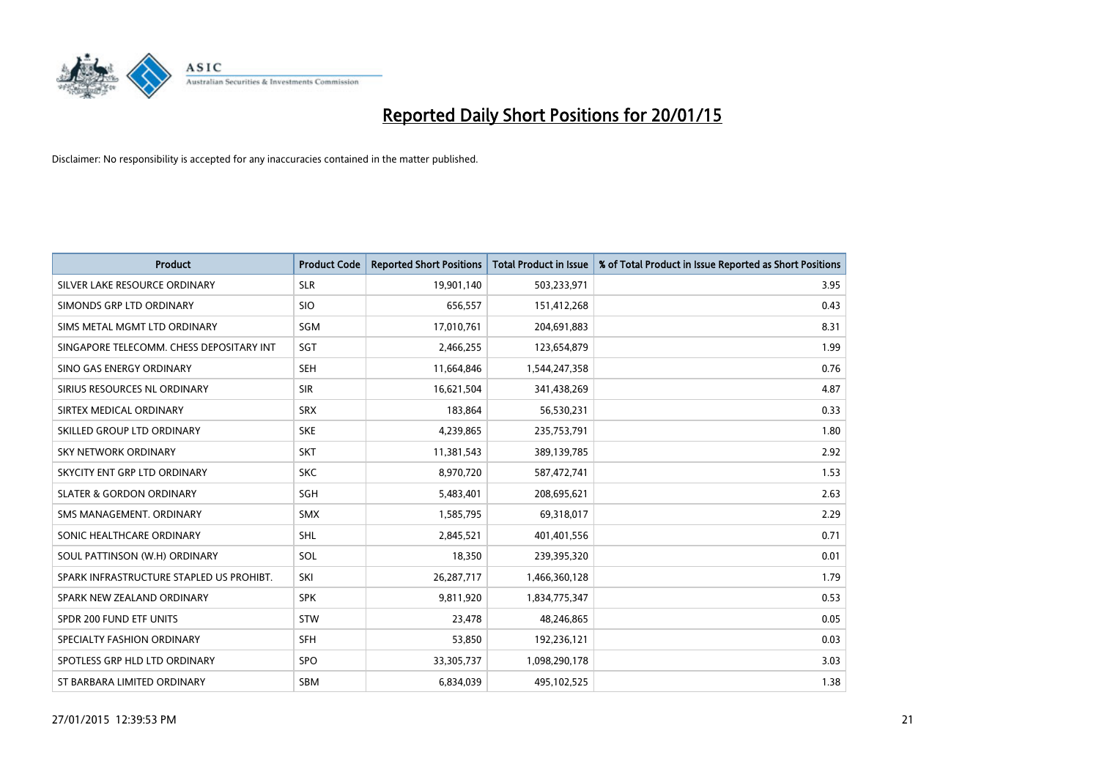

| <b>Product</b>                           | <b>Product Code</b> | <b>Reported Short Positions</b> | <b>Total Product in Issue</b> | % of Total Product in Issue Reported as Short Positions |
|------------------------------------------|---------------------|---------------------------------|-------------------------------|---------------------------------------------------------|
| SILVER LAKE RESOURCE ORDINARY            | <b>SLR</b>          | 19,901,140                      | 503,233,971                   | 3.95                                                    |
| SIMONDS GRP LTD ORDINARY                 | <b>SIO</b>          | 656,557                         | 151,412,268                   | 0.43                                                    |
| SIMS METAL MGMT LTD ORDINARY             | SGM                 | 17,010,761                      | 204,691,883                   | 8.31                                                    |
| SINGAPORE TELECOMM. CHESS DEPOSITARY INT | SGT                 | 2,466,255                       | 123,654,879                   | 1.99                                                    |
| SINO GAS ENERGY ORDINARY                 | <b>SEH</b>          | 11,664,846                      | 1,544,247,358                 | 0.76                                                    |
| SIRIUS RESOURCES NL ORDINARY             | <b>SIR</b>          | 16,621,504                      | 341,438,269                   | 4.87                                                    |
| SIRTEX MEDICAL ORDINARY                  | <b>SRX</b>          | 183,864                         | 56,530,231                    | 0.33                                                    |
| SKILLED GROUP LTD ORDINARY               | <b>SKE</b>          | 4,239,865                       | 235,753,791                   | 1.80                                                    |
| <b>SKY NETWORK ORDINARY</b>              | <b>SKT</b>          | 11,381,543                      | 389,139,785                   | 2.92                                                    |
| SKYCITY ENT GRP LTD ORDINARY             | <b>SKC</b>          | 8,970,720                       | 587,472,741                   | 1.53                                                    |
| <b>SLATER &amp; GORDON ORDINARY</b>      | SGH                 | 5,483,401                       | 208,695,621                   | 2.63                                                    |
| SMS MANAGEMENT, ORDINARY                 | <b>SMX</b>          | 1,585,795                       | 69,318,017                    | 2.29                                                    |
| SONIC HEALTHCARE ORDINARY                | SHL                 | 2,845,521                       | 401,401,556                   | 0.71                                                    |
| SOUL PATTINSON (W.H) ORDINARY            | SOL                 | 18,350                          | 239,395,320                   | 0.01                                                    |
| SPARK INFRASTRUCTURE STAPLED US PROHIBT. | SKI                 | 26,287,717                      | 1,466,360,128                 | 1.79                                                    |
| SPARK NEW ZEALAND ORDINARY               | <b>SPK</b>          | 9,811,920                       | 1,834,775,347                 | 0.53                                                    |
| SPDR 200 FUND ETF UNITS                  | <b>STW</b>          | 23,478                          | 48,246,865                    | 0.05                                                    |
| SPECIALTY FASHION ORDINARY               | <b>SFH</b>          | 53,850                          | 192,236,121                   | 0.03                                                    |
| SPOTLESS GRP HLD LTD ORDINARY            | <b>SPO</b>          | 33,305,737                      | 1,098,290,178                 | 3.03                                                    |
| ST BARBARA LIMITED ORDINARY              | <b>SBM</b>          | 6,834,039                       | 495,102,525                   | 1.38                                                    |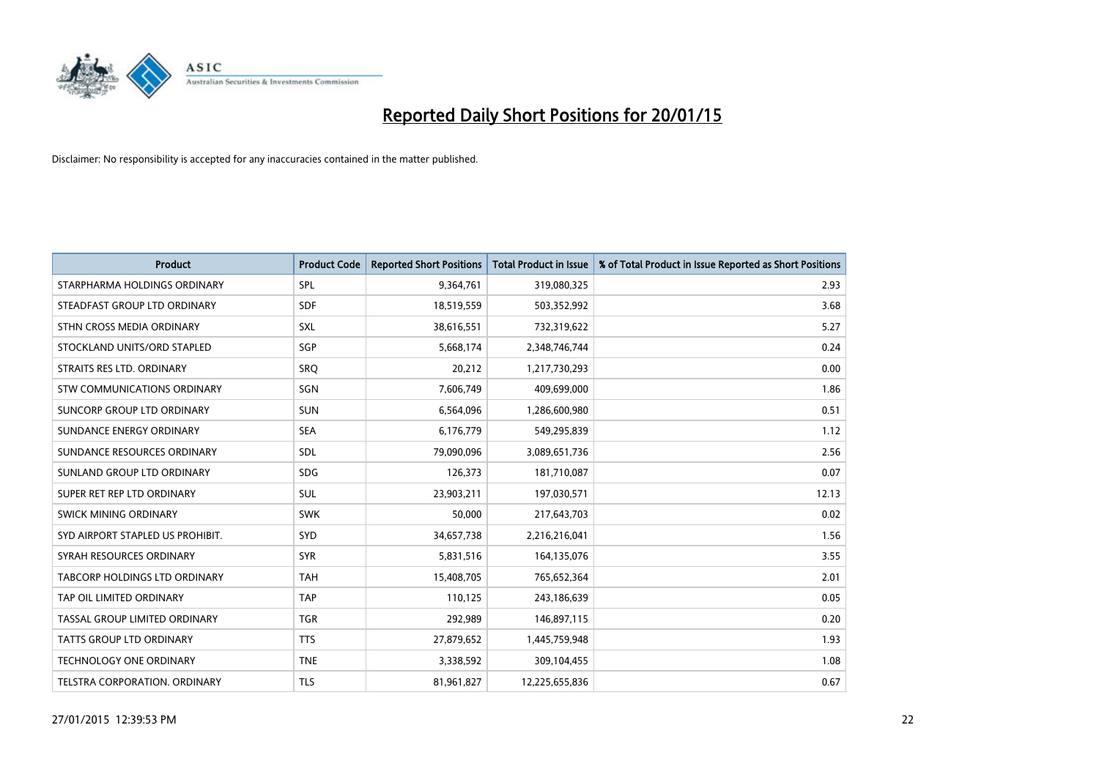

| <b>Product</b>                     | <b>Product Code</b> | <b>Reported Short Positions</b> | <b>Total Product in Issue</b> | % of Total Product in Issue Reported as Short Positions |
|------------------------------------|---------------------|---------------------------------|-------------------------------|---------------------------------------------------------|
| STARPHARMA HOLDINGS ORDINARY       | SPL                 | 9,364,761                       | 319,080,325                   | 2.93                                                    |
| STEADFAST GROUP LTD ORDINARY       | <b>SDF</b>          | 18,519,559                      | 503,352,992                   | 3.68                                                    |
| STHN CROSS MEDIA ORDINARY          | <b>SXL</b>          | 38,616,551                      | 732,319,622                   | 5.27                                                    |
| STOCKLAND UNITS/ORD STAPLED        | SGP                 | 5,668,174                       | 2,348,746,744                 | 0.24                                                    |
| STRAITS RES LTD. ORDINARY          | SRO                 | 20,212                          | 1,217,730,293                 | 0.00                                                    |
| <b>STW COMMUNICATIONS ORDINARY</b> | SGN                 | 7,606,749                       | 409,699,000                   | 1.86                                                    |
| SUNCORP GROUP LTD ORDINARY         | <b>SUN</b>          | 6,564,096                       | 1,286,600,980                 | 0.51                                                    |
| SUNDANCE ENERGY ORDINARY           | <b>SEA</b>          | 6,176,779                       | 549,295,839                   | 1.12                                                    |
| SUNDANCE RESOURCES ORDINARY        | SDL                 | 79,090,096                      | 3,089,651,736                 | 2.56                                                    |
| SUNLAND GROUP LTD ORDINARY         | <b>SDG</b>          | 126,373                         | 181,710,087                   | 0.07                                                    |
| SUPER RET REP LTD ORDINARY         | SUL                 | 23,903,211                      | 197,030,571                   | 12.13                                                   |
| SWICK MINING ORDINARY              | <b>SWK</b>          | 50,000                          | 217,643,703                   | 0.02                                                    |
| SYD AIRPORT STAPLED US PROHIBIT.   | <b>SYD</b>          | 34,657,738                      | 2,216,216,041                 | 1.56                                                    |
| SYRAH RESOURCES ORDINARY           | <b>SYR</b>          | 5,831,516                       | 164,135,076                   | 3.55                                                    |
| TABCORP HOLDINGS LTD ORDINARY      | <b>TAH</b>          | 15,408,705                      | 765,652,364                   | 2.01                                                    |
| TAP OIL LIMITED ORDINARY           | <b>TAP</b>          | 110,125                         | 243,186,639                   | 0.05                                                    |
| TASSAL GROUP LIMITED ORDINARY      | <b>TGR</b>          | 292,989                         | 146,897,115                   | 0.20                                                    |
| TATTS GROUP LTD ORDINARY           | <b>TTS</b>          | 27,879,652                      | 1,445,759,948                 | 1.93                                                    |
| <b>TECHNOLOGY ONE ORDINARY</b>     | <b>TNE</b>          | 3,338,592                       | 309,104,455                   | 1.08                                                    |
| TELSTRA CORPORATION. ORDINARY      | <b>TLS</b>          | 81,961,827                      | 12,225,655,836                | 0.67                                                    |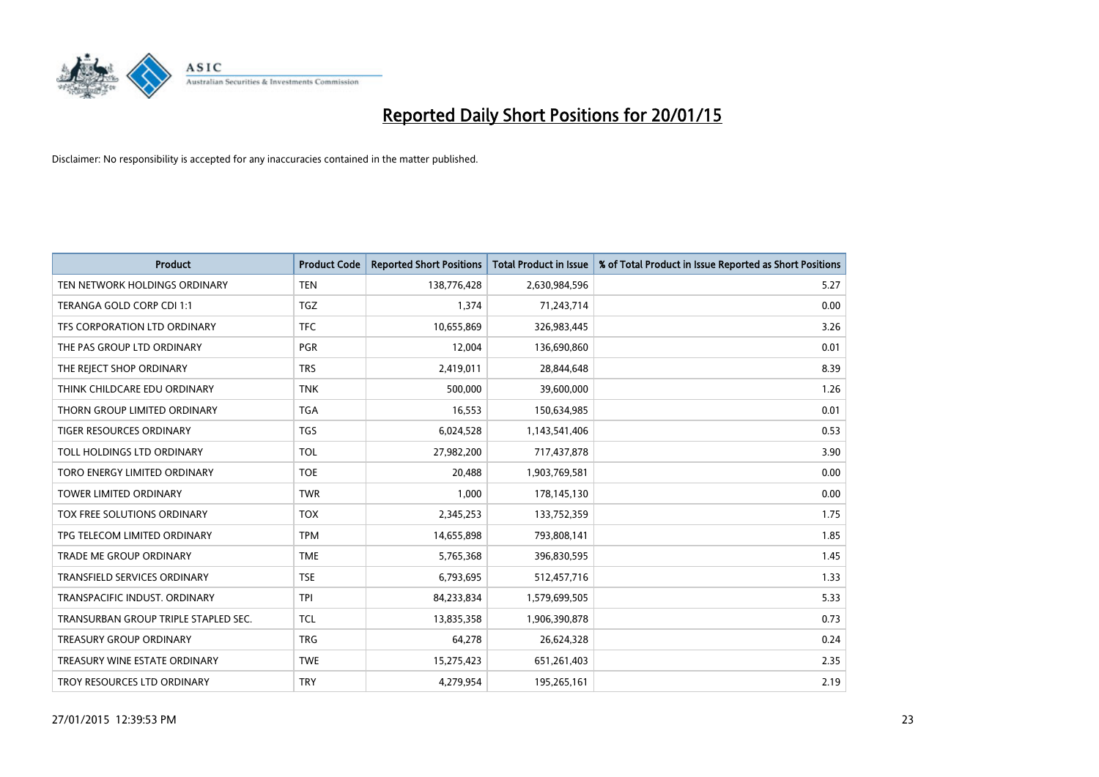

| <b>Product</b>                       | <b>Product Code</b> | <b>Reported Short Positions</b> | <b>Total Product in Issue</b> | % of Total Product in Issue Reported as Short Positions |
|--------------------------------------|---------------------|---------------------------------|-------------------------------|---------------------------------------------------------|
| TEN NETWORK HOLDINGS ORDINARY        | <b>TEN</b>          | 138,776,428                     | 2,630,984,596                 | 5.27                                                    |
| TERANGA GOLD CORP CDI 1:1            | <b>TGZ</b>          | 1,374                           | 71,243,714                    | 0.00                                                    |
| TFS CORPORATION LTD ORDINARY         | <b>TFC</b>          | 10,655,869                      | 326,983,445                   | 3.26                                                    |
| THE PAS GROUP LTD ORDINARY           | <b>PGR</b>          | 12,004                          | 136,690,860                   | 0.01                                                    |
| THE REJECT SHOP ORDINARY             | <b>TRS</b>          | 2,419,011                       | 28,844,648                    | 8.39                                                    |
| THINK CHILDCARE EDU ORDINARY         | <b>TNK</b>          | 500,000                         | 39,600,000                    | 1.26                                                    |
| THORN GROUP LIMITED ORDINARY         | <b>TGA</b>          | 16,553                          | 150,634,985                   | 0.01                                                    |
| TIGER RESOURCES ORDINARY             | <b>TGS</b>          | 6,024,528                       | 1,143,541,406                 | 0.53                                                    |
| TOLL HOLDINGS LTD ORDINARY           | <b>TOL</b>          | 27,982,200                      | 717,437,878                   | 3.90                                                    |
| TORO ENERGY LIMITED ORDINARY         | <b>TOE</b>          | 20,488                          | 1,903,769,581                 | 0.00                                                    |
| TOWER LIMITED ORDINARY               | <b>TWR</b>          | 1,000                           | 178,145,130                   | 0.00                                                    |
| TOX FREE SOLUTIONS ORDINARY          | <b>TOX</b>          | 2,345,253                       | 133,752,359                   | 1.75                                                    |
| TPG TELECOM LIMITED ORDINARY         | <b>TPM</b>          | 14,655,898                      | 793,808,141                   | 1.85                                                    |
| <b>TRADE ME GROUP ORDINARY</b>       | <b>TME</b>          | 5,765,368                       | 396,830,595                   | 1.45                                                    |
| TRANSFIELD SERVICES ORDINARY         | <b>TSE</b>          | 6,793,695                       | 512,457,716                   | 1.33                                                    |
| TRANSPACIFIC INDUST, ORDINARY        | <b>TPI</b>          | 84,233,834                      | 1,579,699,505                 | 5.33                                                    |
| TRANSURBAN GROUP TRIPLE STAPLED SEC. | TCL                 | 13,835,358                      | 1,906,390,878                 | 0.73                                                    |
| <b>TREASURY GROUP ORDINARY</b>       | <b>TRG</b>          | 64,278                          | 26,624,328                    | 0.24                                                    |
| TREASURY WINE ESTATE ORDINARY        | <b>TWE</b>          | 15,275,423                      | 651,261,403                   | 2.35                                                    |
| TROY RESOURCES LTD ORDINARY          | <b>TRY</b>          | 4,279,954                       | 195,265,161                   | 2.19                                                    |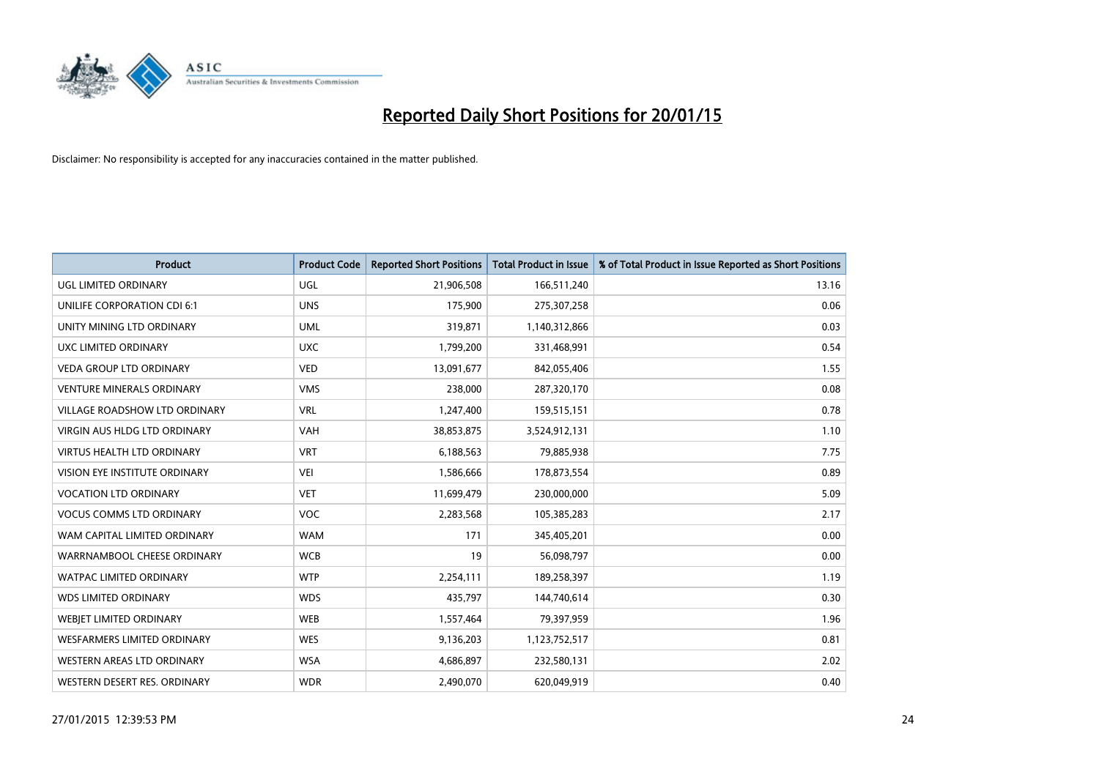

| <b>Product</b>                       | <b>Product Code</b> | <b>Reported Short Positions</b> | <b>Total Product in Issue</b> | % of Total Product in Issue Reported as Short Positions |
|--------------------------------------|---------------------|---------------------------------|-------------------------------|---------------------------------------------------------|
| <b>UGL LIMITED ORDINARY</b>          | UGL                 | 21,906,508                      | 166,511,240                   | 13.16                                                   |
| UNILIFE CORPORATION CDI 6:1          | <b>UNS</b>          | 175,900                         | 275,307,258                   | 0.06                                                    |
| UNITY MINING LTD ORDINARY            | <b>UML</b>          | 319,871                         | 1,140,312,866                 | 0.03                                                    |
| UXC LIMITED ORDINARY                 | <b>UXC</b>          | 1,799,200                       | 331,468,991                   | 0.54                                                    |
| <b>VEDA GROUP LTD ORDINARY</b>       | <b>VED</b>          | 13,091,677                      | 842,055,406                   | 1.55                                                    |
| <b>VENTURE MINERALS ORDINARY</b>     | <b>VMS</b>          | 238,000                         | 287,320,170                   | 0.08                                                    |
| <b>VILLAGE ROADSHOW LTD ORDINARY</b> | <b>VRL</b>          | 1,247,400                       | 159,515,151                   | 0.78                                                    |
| <b>VIRGIN AUS HLDG LTD ORDINARY</b>  | <b>VAH</b>          | 38,853,875                      | 3,524,912,131                 | 1.10                                                    |
| <b>VIRTUS HEALTH LTD ORDINARY</b>    | <b>VRT</b>          | 6,188,563                       | 79,885,938                    | 7.75                                                    |
| VISION EYE INSTITUTE ORDINARY        | <b>VEI</b>          | 1,586,666                       | 178,873,554                   | 0.89                                                    |
| <b>VOCATION LTD ORDINARY</b>         | <b>VET</b>          | 11,699,479                      | 230,000,000                   | 5.09                                                    |
| <b>VOCUS COMMS LTD ORDINARY</b>      | VOC                 | 2,283,568                       | 105,385,283                   | 2.17                                                    |
| WAM CAPITAL LIMITED ORDINARY         | <b>WAM</b>          | 171                             | 345,405,201                   | 0.00                                                    |
| WARRNAMBOOL CHEESE ORDINARY          | <b>WCB</b>          | 19                              | 56,098,797                    | 0.00                                                    |
| <b>WATPAC LIMITED ORDINARY</b>       | <b>WTP</b>          | 2,254,111                       | 189,258,397                   | 1.19                                                    |
| <b>WDS LIMITED ORDINARY</b>          | <b>WDS</b>          | 435,797                         | 144,740,614                   | 0.30                                                    |
| WEBIET LIMITED ORDINARY              | <b>WEB</b>          | 1,557,464                       | 79,397,959                    | 1.96                                                    |
| <b>WESFARMERS LIMITED ORDINARY</b>   | <b>WES</b>          | 9,136,203                       | 1,123,752,517                 | 0.81                                                    |
| WESTERN AREAS LTD ORDINARY           | <b>WSA</b>          | 4,686,897                       | 232,580,131                   | 2.02                                                    |
| WESTERN DESERT RES. ORDINARY         | <b>WDR</b>          | 2,490,070                       | 620,049,919                   | 0.40                                                    |